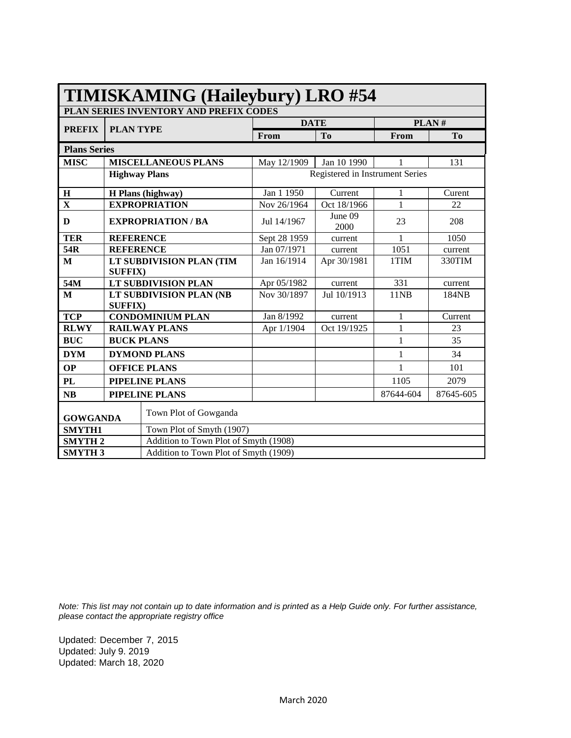|                                          |                         | PLAN SERIES INVENTORY AND PREFIX CODES |                                       |                                 |              |                |  |
|------------------------------------------|-------------------------|----------------------------------------|---------------------------------------|---------------------------------|--------------|----------------|--|
| <b>PREFIX</b>                            | <b>PLAN TYPE</b>        |                                        | <b>DATE</b>                           |                                 | PLAN#        |                |  |
|                                          |                         |                                        | From                                  | T <sub>0</sub>                  | From         | T <sub>0</sub> |  |
| <b>Plans Series</b>                      |                         |                                        |                                       |                                 |              |                |  |
| MISC                                     |                         | <b>MISCELLANEOUS PLANS</b>             | May 12/1909                           | Jan 10 1990                     | 1            | 131            |  |
|                                          | <b>Highway Plans</b>    |                                        |                                       | Registered in Instrument Series |              |                |  |
| $\bf H$                                  |                         | H Plans (highway)                      | Jan 1 1950                            | Current                         | 1            | Curent         |  |
| $\overline{\mathbf{X}}$                  |                         | <b>EXPROPRIATION</b>                   | Nov 26/1964                           | Oct 18/1966                     | $\mathbf{1}$ | 22             |  |
| D                                        | <b>EXPROPRIATION/BA</b> |                                        | Jul 14/1967                           | June 09<br>2000                 | 23           | 208            |  |
| <b>TER</b>                               | <b>REFERENCE</b>        |                                        | Sept 28 1959                          | current                         | 1            | 1050           |  |
| 54R                                      | <b>REFERENCE</b>        |                                        | Jan 07/1971                           | current                         | 1051         | current        |  |
| M                                        | <b>SUFFIX)</b>          | LT SUBDIVISION PLAN (TIM               | Jan 16/1914                           | Apr 30/1981                     | 1TIM         | 330TIM         |  |
| 54M                                      |                         | <b>LT SUBDIVISION PLAN</b>             | Apr 05/1982                           | current                         | 331          | current        |  |
| M                                        | <b>SUFFIX)</b>          | LT SUBDIVISION PLAN (NB                | Nov 30/1897                           | Jul 10/1913                     | 11NB         | 184NB          |  |
| <b>TCP</b>                               |                         | <b>CONDOMINIUM PLAN</b>                | Jan 8/1992                            | current                         | 1            | Current        |  |
| <b>RLWY</b>                              |                         | <b>RAILWAY PLANS</b>                   | Apr 1/1904                            | Oct 19/1925                     | $\,1$        | 23             |  |
| <b>BUC</b>                               | <b>BUCK PLANS</b>       |                                        |                                       |                                 | 1            | 35             |  |
| <b>DYM</b>                               |                         | <b>DYMOND PLANS</b>                    |                                       |                                 | 1            | 34             |  |
| <b>OP</b>                                |                         | <b>OFFICE PLANS</b>                    |                                       |                                 | 1            | 101            |  |
| <b>PL</b>                                |                         | PIPELINE PLANS                         |                                       |                                 | 1105         | 2079           |  |
| <b>NB</b>                                | PIPELINE PLANS          |                                        |                                       |                                 | 87644-604    | 87645-605      |  |
| Town Plot of Gowganda<br><b>GOWGANDA</b> |                         |                                        |                                       |                                 |              |                |  |
| <b>SMYTH1</b>                            |                         |                                        | Town Plot of Smyth (1907)             |                                 |              |                |  |
| <b>SMYTH2</b>                            |                         |                                        | Addition to Town Plot of Smyth (1908) |                                 |              |                |  |
| <b>SMYTH3</b>                            |                         | Addition to Town Plot of Smyth (1909)  |                                       |                                 |              |                |  |

## **TIMISKAMING (Haileybury) LRO #54 TIMISKAMING (Haileybury) LRO #54**

*Note: This list may not contain up to date information and is printed as a Help Guide only. For further assistance, please contact the appropriate registry office* 

Updated: December 7, 2015 Updated: July 9. 2019 Updated: March 18, 2020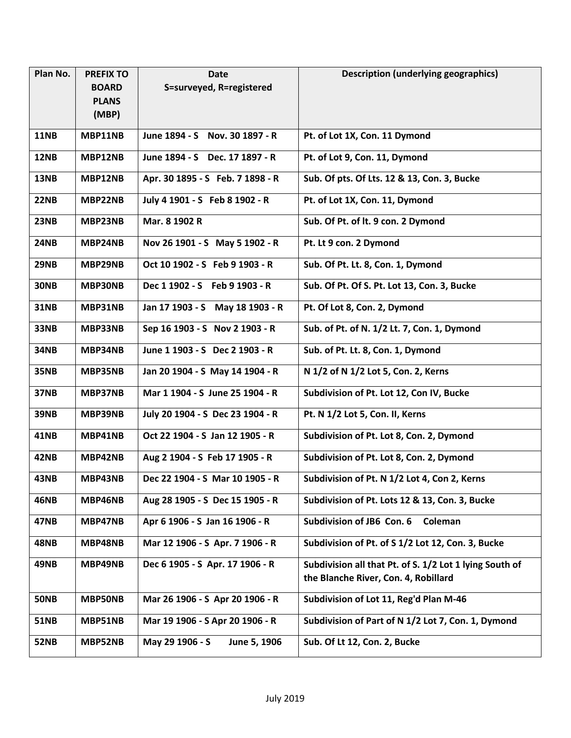| Plan No.    | <b>PREFIX TO</b> | <b>Date</b>                      | <b>Description (underlying geographics)</b>             |
|-------------|------------------|----------------------------------|---------------------------------------------------------|
|             | <b>BOARD</b>     | S=surveyed, R=registered         |                                                         |
|             | <b>PLANS</b>     |                                  |                                                         |
|             | (MBP)            |                                  |                                                         |
| <b>11NB</b> | MBP11NB          | June 1894 - S Nov. 30 1897 - R   | Pt. of Lot 1X, Con. 11 Dymond                           |
| <b>12NB</b> | MBP12NB          | June 1894 - S Dec. 17 1897 - R   | Pt. of Lot 9, Con. 11, Dymond                           |
| 13NB        | MBP12NB          | Apr. 30 1895 - S Feb. 7 1898 - R | Sub. Of pts. Of Lts. 12 & 13, Con. 3, Bucke             |
| 22NB        | MBP22NB          | July 4 1901 - S Feb 8 1902 - R   | Pt. of Lot 1X, Con. 11, Dymond                          |
| <b>23NB</b> | MBP23NB          | Mar. 8 1902 R                    | Sub. Of Pt. of It. 9 con. 2 Dymond                      |
| <b>24NB</b> | MBP24NB          | Nov 26 1901 - S May 5 1902 - R   | Pt. Lt 9 con. 2 Dymond                                  |
| 29NB        | MBP29NB          | Oct 10 1902 - S Feb 9 1903 - R   | Sub. Of Pt. Lt. 8, Con. 1, Dymond                       |
| <b>30NB</b> | MBP30NB          | Dec 1 1902 - S Feb 9 1903 - R    | Sub. Of Pt. Of S. Pt. Lot 13, Con. 3, Bucke             |
| <b>31NB</b> | MBP31NB          | Jan 17 1903 - S May 18 1903 - R  | Pt. Of Lot 8, Con. 2, Dymond                            |
| 33NB        | MBP33NB          | Sep 16 1903 - S Nov 2 1903 - R   | Sub. of Pt. of N. 1/2 Lt. 7, Con. 1, Dymond             |
| <b>34NB</b> | MBP34NB          | June 1 1903 - S Dec 2 1903 - R   | Sub. of Pt. Lt. 8, Con. 1, Dymond                       |
| <b>35NB</b> | MBP35NB          | Jan 20 1904 - S May 14 1904 - R  | N 1/2 of N 1/2 Lot 5, Con. 2, Kerns                     |
| 37NB        | MBP37NB          | Mar 1 1904 - S June 25 1904 - R  | Subdivision of Pt. Lot 12, Con IV, Bucke                |
| <b>39NB</b> | MBP39NB          | July 20 1904 - S Dec 23 1904 - R | Pt. N 1/2 Lot 5, Con. II, Kerns                         |
| <b>41NB</b> | MBP41NB          | Oct 22 1904 - S Jan 12 1905 - R  | Subdivision of Pt. Lot 8, Con. 2, Dymond                |
| 42NB        | MBP42NB          | Aug 2 1904 - S Feb 17 1905 - R   | Subdivision of Pt. Lot 8, Con. 2, Dymond                |
| <b>43NB</b> | MBP43NB          | Dec 22 1904 - S Mar 10 1905 - R  | Subdivision of Pt. N 1/2 Lot 4, Con 2, Kerns            |
| <b>46NB</b> | MBP46NB          | Aug 28 1905 - S Dec 15 1905 - R  | Subdivision of Pt. Lots 12 & 13, Con. 3, Bucke          |
| <b>47NB</b> | MBP47NB          | Apr 6 1906 - S Jan 16 1906 - R   | Subdivision of JB6 Con. 6<br>Coleman                    |
| <b>48NB</b> | MBP48NB          | Mar 12 1906 - S Apr. 7 1906 - R  | Subdivision of Pt. of S 1/2 Lot 12, Con. 3, Bucke       |
| 49NB        | MBP49NB          | Dec 6 1905 - S Apr. 17 1906 - R  | Subdivision all that Pt. of S. 1/2 Lot 1 lying South of |
|             |                  |                                  | the Blanche River, Con. 4, Robillard                    |
| <b>50NB</b> | <b>MBP50NB</b>   | Mar 26 1906 - S Apr 20 1906 - R  | Subdivision of Lot 11, Reg'd Plan M-46                  |
| <b>51NB</b> | MBP51NB          | Mar 19 1906 - S Apr 20 1906 - R  | Subdivision of Part of N 1/2 Lot 7, Con. 1, Dymond      |
| <b>52NB</b> | MBP52NB          | May 29 1906 - S<br>June 5, 1906  | Sub. Of Lt 12, Con. 2, Bucke                            |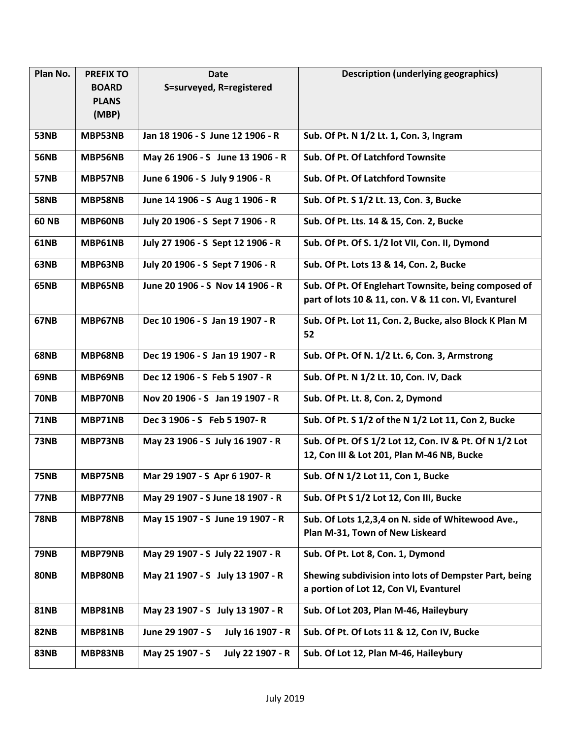| Plan No.     | <b>PREFIX TO</b> | <b>Date</b>                          | <b>Description (underlying geographics)</b>                                                     |
|--------------|------------------|--------------------------------------|-------------------------------------------------------------------------------------------------|
|              | <b>BOARD</b>     | S=surveyed, R=registered             |                                                                                                 |
|              | <b>PLANS</b>     |                                      |                                                                                                 |
|              | (MBP)            |                                      |                                                                                                 |
| <b>53NB</b>  | MBP53NB          | Jan 18 1906 - S June 12 1906 - R     | Sub. Of Pt. N 1/2 Lt. 1, Con. 3, Ingram                                                         |
| <b>56NB</b>  | MBP56NB          | May 26 1906 - S June 13 1906 - R     | Sub. Of Pt. Of Latchford Townsite                                                               |
| <b>57NB</b>  | MBP57NB          | June 6 1906 - S July 9 1906 - R      | Sub. Of Pt. Of Latchford Townsite                                                               |
| <b>58NB</b>  | MBP58NB          | June 14 1906 - S Aug 1 1906 - R      | Sub. Of Pt. S 1/2 Lt. 13, Con. 3, Bucke                                                         |
| <b>60 NB</b> | MBP60NB          | July 20 1906 - S Sept 7 1906 - R     | Sub. Of Pt. Lts. 14 & 15, Con. 2, Bucke                                                         |
| <b>61NB</b>  | MBP61NB          | July 27 1906 - S Sept 12 1906 - R    | Sub. Of Pt. Of S. 1/2 lot VII, Con. II, Dymond                                                  |
| 63NB         | MBP63NB          | July 20 1906 - S Sept 7 1906 - R     | Sub. Of Pt. Lots 13 & 14, Con. 2, Bucke                                                         |
| <b>65NB</b>  | MBP65NB          | June 20 1906 - S Nov 14 1906 - R     | Sub. Of Pt. Of Englehart Townsite, being composed of                                            |
|              |                  |                                      | part of lots 10 & 11, con. V & 11 con. VI, Evanturel                                            |
| 67NB         | MBP67NB          | Dec 10 1906 - S Jan 19 1907 - R      | Sub. Of Pt. Lot 11, Con. 2, Bucke, also Block K Plan M<br>52                                    |
| <b>68NB</b>  | MBP68NB          | Dec 19 1906 - S Jan 19 1907 - R      | Sub. Of Pt. Of N. 1/2 Lt. 6, Con. 3, Armstrong                                                  |
| 69NB         | MBP69NB          | Dec 12 1906 - S Feb 5 1907 - R       | Sub. Of Pt. N 1/2 Lt. 10, Con. IV, Dack                                                         |
| <b>70NB</b>  | MBP70NB          | Nov 20 1906 - S Jan 19 1907 - R      | Sub. Of Pt. Lt. 8, Con. 2, Dymond                                                               |
| <b>71NB</b>  | MBP71NB          | Dec 3 1906 - S Feb 5 1907-R          | Sub. Of Pt. S 1/2 of the N 1/2 Lot 11, Con 2, Bucke                                             |
| <b>73NB</b>  | MBP73NB          | May 23 1906 - S July 16 1907 - R     | Sub. Of Pt. Of S 1/2 Lot 12, Con. IV & Pt. Of N 1/2 Lot                                         |
|              |                  |                                      | 12, Con III & Lot 201, Plan M-46 NB, Bucke                                                      |
| <b>75NB</b>  | MBP75NB          | Mar 29 1907 - S Apr 6 1907- R        | Sub. Of N 1/2 Lot 11, Con 1, Bucke                                                              |
| <b>77NB</b>  | MBP77NB          | May 29 1907 - S June 18 1907 - R     | Sub. Of Pt S 1/2 Lot 12, Con III, Bucke                                                         |
| <b>78NB</b>  | MBP78NB          | May 15 1907 - S June 19 1907 - R     | Sub. Of Lots 1,2,3,4 on N. side of Whitewood Ave.,<br>Plan M-31, Town of New Liskeard           |
| <b>79NB</b>  | MBP79NB          | May 29 1907 - S July 22 1907 - R     | Sub. Of Pt. Lot 8, Con. 1, Dymond                                                               |
| <b>80NB</b>  | MBP80NB          | May 21 1907 - S July 13 1907 - R     | Shewing subdivision into lots of Dempster Part, being<br>a portion of Lot 12, Con VI, Evanturel |
| <b>81NB</b>  | MBP81NB          | May 23 1907 - S July 13 1907 - R     | Sub. Of Lot 203, Plan M-46, Haileybury                                                          |
| <b>82NB</b>  | MBP81NB          | June 29 1907 - S<br>July 16 1907 - R | Sub. Of Pt. Of Lots 11 & 12, Con IV, Bucke                                                      |
| <b>83NB</b>  | MBP83NB          | May 25 1907 - S<br>July 22 1907 - R  | Sub. Of Lot 12, Plan M-46, Haileybury                                                           |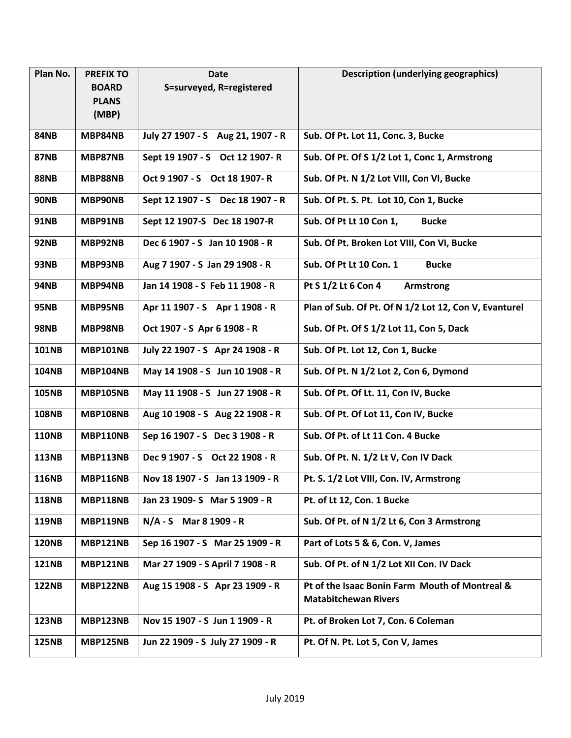| Plan No.     | <b>PREFIX TO</b> | <b>Date</b>                       | <b>Description (underlying geographics)</b>                                   |
|--------------|------------------|-----------------------------------|-------------------------------------------------------------------------------|
|              | <b>BOARD</b>     | S=surveyed, R=registered          |                                                                               |
|              | <b>PLANS</b>     |                                   |                                                                               |
|              | (MBP)            |                                   |                                                                               |
| <b>84NB</b>  | MBP84NB          | July 27 1907 - S Aug 21, 1907 - R | Sub. Of Pt. Lot 11, Conc. 3, Bucke                                            |
| <b>87NB</b>  | MBP87NB          | Sept 19 1907 - S Oct 12 1907- R   | Sub. Of Pt. Of S 1/2 Lot 1, Conc 1, Armstrong                                 |
| <b>88NB</b>  | MBP88NB          | Oct 9 1907 - S Oct 18 1907-R      | Sub. Of Pt. N 1/2 Lot VIII, Con VI, Bucke                                     |
| <b>90NB</b>  | MBP90NB          | Sept 12 1907 - S Dec 18 1907 - R  | Sub. Of Pt. S. Pt. Lot 10, Con 1, Bucke                                       |
| <b>91NB</b>  | MBP91NB          | Sept 12 1907-S Dec 18 1907-R      | Sub. Of Pt Lt 10 Con 1,<br><b>Bucke</b>                                       |
| <b>92NB</b>  | MBP92NB          | Dec 6 1907 - S Jan 10 1908 - R    | Sub. Of Pt. Broken Lot VIII, Con VI, Bucke                                    |
| <b>93NB</b>  | MBP93NB          | Aug 7 1907 - S Jan 29 1908 - R    | Sub. Of Pt Lt 10 Con. 1<br><b>Bucke</b>                                       |
| <b>94NB</b>  | MBP94NB          | Jan 14 1908 - S Feb 11 1908 - R   | Pt S 1/2 Lt 6 Con 4<br><b>Armstrong</b>                                       |
| <b>95NB</b>  | MBP95NB          | Apr 11 1907 - S Apr 1 1908 - R    | Plan of Sub. Of Pt. Of N 1/2 Lot 12, Con V, Evanturel                         |
| <b>98NB</b>  | MBP98NB          | Oct 1907 - S Apr 6 1908 - R       | Sub. Of Pt. Of S 1/2 Lot 11, Con 5, Dack                                      |
| <b>101NB</b> | <b>MBP101NB</b>  | July 22 1907 - S Apr 24 1908 - R  | Sub. Of Pt. Lot 12, Con 1, Bucke                                              |
| <b>104NB</b> | MBP104NB         | May 14 1908 - S Jun 10 1908 - R   | Sub. Of Pt. N 1/2 Lot 2, Con 6, Dymond                                        |
| <b>105NB</b> | <b>MBP105NB</b>  | May 11 1908 - S Jun 27 1908 - R   | Sub. Of Pt. Of Lt. 11, Con IV, Bucke                                          |
| <b>108NB</b> | <b>MBP108NB</b>  | Aug 10 1908 - S Aug 22 1908 - R   | Sub. Of Pt. Of Lot 11, Con IV, Bucke                                          |
| <b>110NB</b> | MBP110NB         | Sep 16 1907 - S Dec 3 1908 - R    | Sub. Of Pt. of Lt 11 Con. 4 Bucke                                             |
| <b>113NB</b> | MBP113NB         | Dec 9 1907 - S Oct 22 1908 - R    | Sub. Of Pt. N. 1/2 Lt V, Con IV Dack                                          |
| <b>116NB</b> | <b>MBP116NB</b>  | Nov 18 1907 - S Jan 13 1909 - R   | Pt. S. 1/2 Lot VIII, Con. IV, Armstrong                                       |
| <b>118NB</b> | MBP118NB         | Jan 23 1909- S Mar 5 1909 - R     | Pt. of Lt 12, Con. 1 Bucke                                                    |
| <b>119NB</b> | MBP119NB         | N/A - S Mar 8 1909 - R            | Sub. Of Pt. of N 1/2 Lt 6, Con 3 Armstrong                                    |
| <b>120NB</b> | <b>MBP121NB</b>  | Sep 16 1907 - S Mar 25 1909 - R   | Part of Lots 5 & 6, Con. V, James                                             |
| <b>121NB</b> | MBP121NB         | Mar 27 1909 - S April 7 1908 - R  | Sub. Of Pt. of N 1/2 Lot XII Con. IV Dack                                     |
| <b>122NB</b> | MBP122NB         | Aug 15 1908 - S Apr 23 1909 - R   | Pt of the Isaac Bonin Farm Mouth of Montreal &<br><b>Matabitchewan Rivers</b> |
| <b>123NB</b> | MBP123NB         | Nov 15 1907 - S Jun 1 1909 - R    | Pt. of Broken Lot 7, Con. 6 Coleman                                           |
| <b>125NB</b> | MBP125NB         | Jun 22 1909 - S July 27 1909 - R  | Pt. Of N. Pt. Lot 5, Con V, James                                             |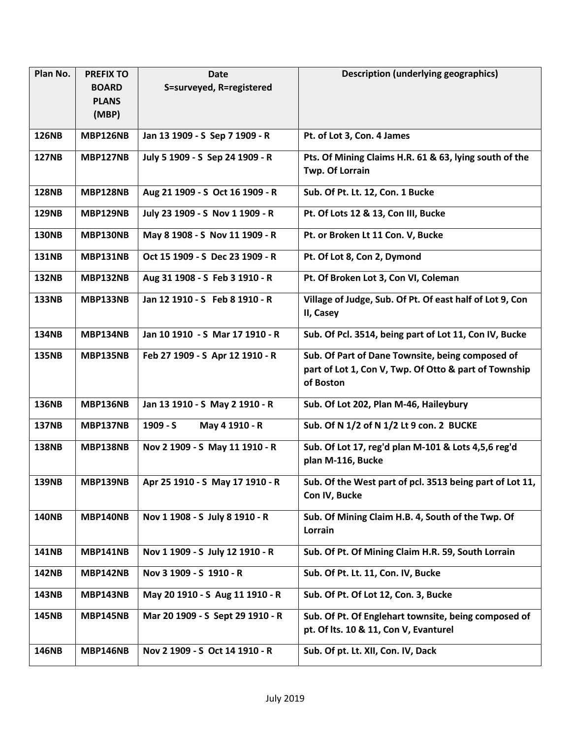| Plan No.     | <b>PREFIX TO</b> | Date                             | <b>Description (underlying geographics)</b>                                                                            |
|--------------|------------------|----------------------------------|------------------------------------------------------------------------------------------------------------------------|
|              | <b>BOARD</b>     | S=surveyed, R=registered         |                                                                                                                        |
|              | <b>PLANS</b>     |                                  |                                                                                                                        |
|              | (MBP)            |                                  |                                                                                                                        |
| <b>126NB</b> | <b>MBP126NB</b>  | Jan 13 1909 - S Sep 7 1909 - R   | Pt. of Lot 3, Con. 4 James                                                                                             |
| <b>127NB</b> | <b>MBP127NB</b>  | July 5 1909 - S Sep 24 1909 - R  | Pts. Of Mining Claims H.R. 61 & 63, lying south of the                                                                 |
|              |                  |                                  | Twp. Of Lorrain                                                                                                        |
| <b>128NB</b> | <b>MBP128NB</b>  | Aug 21 1909 - S Oct 16 1909 - R  | Sub. Of Pt. Lt. 12, Con. 1 Bucke                                                                                       |
| <b>129NB</b> | MBP129NB         | July 23 1909 - S Nov 1 1909 - R  | Pt. Of Lots 12 & 13, Con III, Bucke                                                                                    |
| <b>130NB</b> | MBP130NB         | May 8 1908 - S Nov 11 1909 - R   | Pt. or Broken Lt 11 Con. V, Bucke                                                                                      |
| <b>131NB</b> | MBP131NB         | Oct 15 1909 - S Dec 23 1909 - R  | Pt. Of Lot 8, Con 2, Dymond                                                                                            |
| <b>132NB</b> | <b>MBP132NB</b>  | Aug 31 1908 - S Feb 3 1910 - R   | Pt. Of Broken Lot 3, Con VI, Coleman                                                                                   |
| <b>133NB</b> | <b>MBP133NB</b>  | Jan 12 1910 - S Feb 8 1910 - R   | Village of Judge, Sub. Of Pt. Of east half of Lot 9, Con<br>II, Casey                                                  |
| <b>134NB</b> | <b>MBP134NB</b>  | Jan 10 1910 - S Mar 17 1910 - R  | Sub. Of Pcl. 3514, being part of Lot 11, Con IV, Bucke                                                                 |
| <b>135NB</b> | <b>MBP135NB</b>  | Feb 27 1909 - S Apr 12 1910 - R  | Sub. Of Part of Dane Townsite, being composed of<br>part of Lot 1, Con V, Twp. Of Otto & part of Township<br>of Boston |
| <b>136NB</b> | <b>MBP136NB</b>  | Jan 13 1910 - S May 2 1910 - R   | Sub. Of Lot 202, Plan M-46, Haileybury                                                                                 |
| <b>137NB</b> | <b>MBP137NB</b>  | $1909 - S$<br>May 4 1910 - R     | Sub. Of N 1/2 of N 1/2 Lt 9 con. 2 BUCKE                                                                               |
| <b>138NB</b> | <b>MBP138NB</b>  | Nov 2 1909 - S May 11 1910 - R   | Sub. Of Lot 17, reg'd plan M-101 & Lots 4,5,6 reg'd<br>plan M-116, Bucke                                               |
| <b>139NB</b> | MBP139NB         | Apr 25 1910 - S May 17 1910 - R  | Sub. Of the West part of pcl. 3513 being part of Lot 11,<br>Con IV, Bucke                                              |
| <b>140NB</b> | <b>MBP140NB</b>  | Nov 1 1908 - S July 8 1910 - R   | Sub. Of Mining Claim H.B. 4, South of the Twp. Of<br>Lorrain                                                           |
| <b>141NB</b> | MBP141NB         | Nov 1 1909 - S July 12 1910 - R  | Sub. Of Pt. Of Mining Claim H.R. 59, South Lorrain                                                                     |
| <b>142NB</b> | MBP142NB         | Nov 3 1909 - S 1910 - R          | Sub. Of Pt. Lt. 11, Con. IV, Bucke                                                                                     |
| <b>143NB</b> | MBP143NB         | May 20 1910 - S Aug 11 1910 - R  | Sub. Of Pt. Of Lot 12, Con. 3, Bucke                                                                                   |
| <b>145NB</b> | <b>MBP145NB</b>  | Mar 20 1909 - S Sept 29 1910 - R | Sub. Of Pt. Of Englehart townsite, being composed of<br>pt. Of Its. 10 & 11, Con V, Evanturel                          |
| <b>146NB</b> | <b>MBP146NB</b>  | Nov 2 1909 - S Oct 14 1910 - R   | Sub. Of pt. Lt. XII, Con. IV, Dack                                                                                     |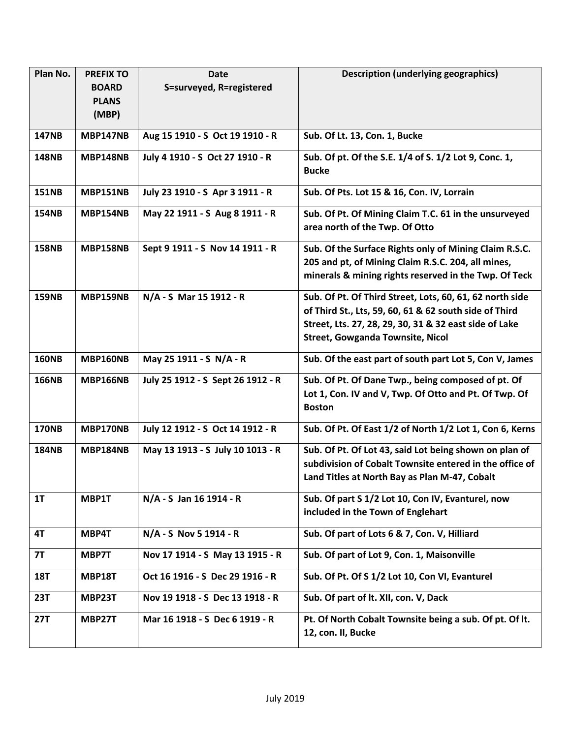| Plan No.     | <b>PREFIX TO</b> | <b>Date</b>                       | <b>Description (underlying geographics)</b>                                                                                                                                                                             |
|--------------|------------------|-----------------------------------|-------------------------------------------------------------------------------------------------------------------------------------------------------------------------------------------------------------------------|
|              | <b>BOARD</b>     | S=surveyed, R=registered          |                                                                                                                                                                                                                         |
|              | <b>PLANS</b>     |                                   |                                                                                                                                                                                                                         |
|              | (MBP)            |                                   |                                                                                                                                                                                                                         |
| <b>147NB</b> | <b>MBP147NB</b>  | Aug 15 1910 - S Oct 19 1910 - R   | Sub. Of Lt. 13, Con. 1, Bucke                                                                                                                                                                                           |
| <b>148NB</b> | <b>MBP148NB</b>  | July 4 1910 - S Oct 27 1910 - R   | Sub. Of pt. Of the S.E. 1/4 of S. 1/2 Lot 9, Conc. 1,<br><b>Bucke</b>                                                                                                                                                   |
| <b>151NB</b> | MBP151NB         | July 23 1910 - S Apr 3 1911 - R   | Sub. Of Pts. Lot 15 & 16, Con. IV, Lorrain                                                                                                                                                                              |
| <b>154NB</b> | <b>MBP154NB</b>  | May 22 1911 - S Aug 8 1911 - R    | Sub. Of Pt. Of Mining Claim T.C. 61 in the unsurveyed<br>area north of the Twp. Of Otto                                                                                                                                 |
| <b>158NB</b> | <b>MBP158NB</b>  | Sept 9 1911 - S Nov 14 1911 - R   | Sub. Of the Surface Rights only of Mining Claim R.S.C.<br>205 and pt, of Mining Claim R.S.C. 204, all mines,<br>minerals & mining rights reserved in the Twp. Of Teck                                                   |
| <b>159NB</b> | MBP159NB         | N/A - S Mar 15 1912 - R           | Sub. Of Pt. Of Third Street, Lots, 60, 61, 62 north side<br>of Third St., Lts, 59, 60, 61 & 62 south side of Third<br>Street, Lts. 27, 28, 29, 30, 31 & 32 east side of Lake<br><b>Street, Gowganda Townsite, Nicol</b> |
| <b>160NB</b> | MBP160NB         | May 25 1911 - S N/A - R           | Sub. Of the east part of south part Lot 5, Con V, James                                                                                                                                                                 |
| <b>166NB</b> | <b>MBP166NB</b>  | July 25 1912 - S Sept 26 1912 - R | Sub. Of Pt. Of Dane Twp., being composed of pt. Of<br>Lot 1, Con. IV and V, Twp. Of Otto and Pt. Of Twp. Of<br><b>Boston</b>                                                                                            |
| <b>170NB</b> | MBP170NB         | July 12 1912 - S Oct 14 1912 - R  | Sub. Of Pt. Of East 1/2 of North 1/2 Lot 1, Con 6, Kerns                                                                                                                                                                |
| <b>184NB</b> | <b>MBP184NB</b>  | May 13 1913 - S July 10 1013 - R  | Sub. Of Pt. Of Lot 43, said Lot being shown on plan of<br>subdivision of Cobalt Townsite entered in the office of<br>Land Titles at North Bay as Plan M-47, Cobalt                                                      |
| 1T           | MBP1T            | N/A - S Jan 16 1914 - R           | Sub. Of part S 1/2 Lot 10, Con IV, Evanturel, now<br>included in the Town of Englehart                                                                                                                                  |
| 4T           | MBP4T            | N/A - S Nov 5 1914 - R            | Sub. Of part of Lots 6 & 7, Con. V, Hilliard                                                                                                                                                                            |
| <b>7T</b>    | MBP7T            | Nov 17 1914 - S May 13 1915 - R   | Sub. Of part of Lot 9, Con. 1, Maisonville                                                                                                                                                                              |
| <b>18T</b>   | <b>MBP18T</b>    | Oct 16 1916 - S Dec 29 1916 - R   | Sub. Of Pt. Of S 1/2 Lot 10, Con VI, Evanturel                                                                                                                                                                          |
| <b>23T</b>   | MBP23T           | Nov 19 1918 - S Dec 13 1918 - R   | Sub. Of part of lt. XII, con. V, Dack                                                                                                                                                                                   |
| <b>27T</b>   | <b>MBP27T</b>    | Mar 16 1918 - S Dec 6 1919 - R    | Pt. Of North Cobalt Townsite being a sub. Of pt. Of It.                                                                                                                                                                 |
|              |                  |                                   | 12, con. II, Bucke                                                                                                                                                                                                      |
|              |                  |                                   |                                                                                                                                                                                                                         |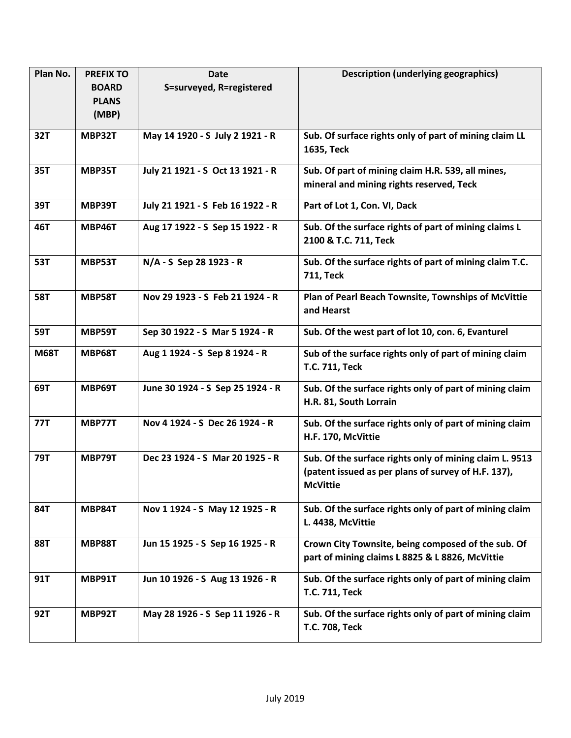| Plan No.    | <b>PREFIX TO</b> | <b>Date</b>                      | <b>Description (underlying geographics)</b>             |
|-------------|------------------|----------------------------------|---------------------------------------------------------|
|             | <b>BOARD</b>     | S=surveyed, R=registered         |                                                         |
|             | <b>PLANS</b>     |                                  |                                                         |
|             | (MBP)            |                                  |                                                         |
| 32T         | <b>MBP32T</b>    | May 14 1920 - S July 2 1921 - R  | Sub. Of surface rights only of part of mining claim LL  |
|             |                  |                                  | 1635, Teck                                              |
| 35T         | MBP35T           | July 21 1921 - S Oct 13 1921 - R | Sub. Of part of mining claim H.R. 539, all mines,       |
|             |                  |                                  | mineral and mining rights reserved, Teck                |
| 39T         | <b>MBP39T</b>    | July 21 1921 - S Feb 16 1922 - R | Part of Lot 1, Con. VI, Dack                            |
| 46T         | MBP46T           | Aug 17 1922 - S Sep 15 1922 - R  | Sub. Of the surface rights of part of mining claims L   |
|             |                  |                                  | 2100 & T.C. 711, Teck                                   |
| <b>53T</b>  | MBP53T           | N/A - S Sep 28 1923 - R          | Sub. Of the surface rights of part of mining claim T.C. |
|             |                  |                                  | <b>711, Teck</b>                                        |
| <b>58T</b>  | <b>MBP58T</b>    | Nov 29 1923 - S Feb 21 1924 - R  | Plan of Pearl Beach Townsite, Townships of McVittie     |
|             |                  |                                  | and Hearst                                              |
| 59T         | MBP59T           | Sep 30 1922 - S Mar 5 1924 - R   | Sub. Of the west part of lot 10, con. 6, Evanturel      |
| <b>M68T</b> | <b>MBP68T</b>    | Aug 1 1924 - S Sep 8 1924 - R    | Sub of the surface rights only of part of mining claim  |
|             |                  |                                  | T.C. 711, Teck                                          |
| 69T         | MBP69T           | June 30 1924 - S Sep 25 1924 - R | Sub. Of the surface rights only of part of mining claim |
|             |                  |                                  | H.R. 81, South Lorrain                                  |
| <b>77T</b>  | MBP77T           | Nov 4 1924 - S Dec 26 1924 - R   | Sub. Of the surface rights only of part of mining claim |
|             |                  |                                  | H.F. 170, McVittie                                      |
| <b>79T</b>  | <b>MBP79T</b>    | Dec 23 1924 - S Mar 20 1925 - R  | Sub. Of the surface rights only of mining claim L. 9513 |
|             |                  |                                  | (patent issued as per plans of survey of H.F. 137),     |
|             |                  |                                  | <b>McVittie</b>                                         |
| 84T         | MBP84T           | Nov 1 1924 - S May 12 1925 - R   | Sub. Of the surface rights only of part of mining claim |
|             |                  |                                  | L. 4438, McVittie                                       |
| <b>88T</b>  | <b>MBP88T</b>    | Jun 15 1925 - S Sep 16 1925 - R  | Crown City Townsite, being composed of the sub. Of      |
|             |                  |                                  | part of mining claims L 8825 & L 8826, McVittie         |
| 91T         | MBP91T           | Jun 10 1926 - S Aug 13 1926 - R  | Sub. Of the surface rights only of part of mining claim |
|             |                  |                                  | T.C. 711, Teck                                          |
| <b>92T</b>  | MBP92T           | May 28 1926 - S Sep 11 1926 - R  | Sub. Of the surface rights only of part of mining claim |
|             |                  |                                  | T.C. 708, Teck                                          |
|             |                  |                                  |                                                         |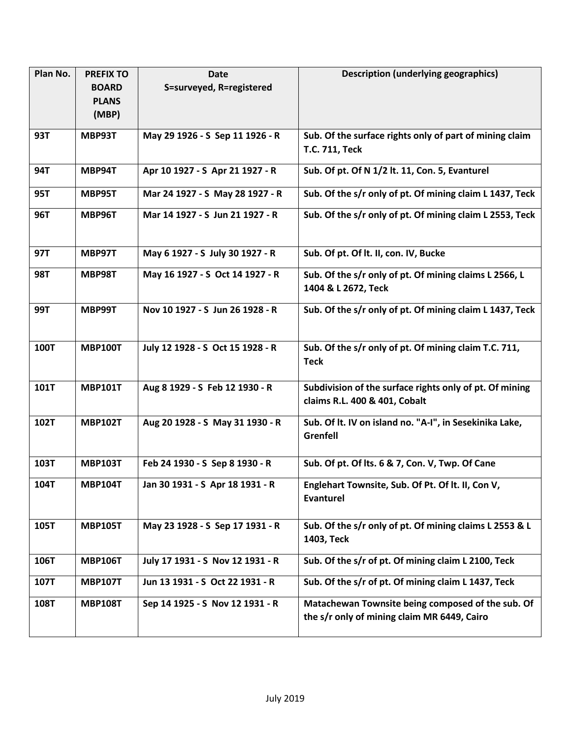| Plan No.    | <b>PREFIX TO</b> | Date                             | <b>Description (underlying geographics)</b>                                                      |
|-------------|------------------|----------------------------------|--------------------------------------------------------------------------------------------------|
|             | <b>BOARD</b>     | S=surveyed, R=registered         |                                                                                                  |
|             | <b>PLANS</b>     |                                  |                                                                                                  |
|             | (MBP)            |                                  |                                                                                                  |
| 93T         | MBP93T           | May 29 1926 - S Sep 11 1926 - R  | Sub. Of the surface rights only of part of mining claim                                          |
|             |                  |                                  | T.C. 711, Teck                                                                                   |
| <b>94T</b>  | MBP94T           | Apr 10 1927 - S Apr 21 1927 - R  | Sub. Of pt. Of N 1/2 lt. 11, Con. 5, Evanturel                                                   |
| <b>95T</b>  | MBP95T           | Mar 24 1927 - S May 28 1927 - R  | Sub. Of the s/r only of pt. Of mining claim L 1437, Teck                                         |
| <b>96T</b>  | <b>MBP96T</b>    | Mar 14 1927 - S Jun 21 1927 - R  | Sub. Of the s/r only of pt. Of mining claim L 2553, Teck                                         |
| 97T         | MBP97T           | May 6 1927 - S July 30 1927 - R  | Sub. Of pt. Of lt. II, con. IV, Bucke                                                            |
| <b>98T</b>  | <b>MBP98T</b>    | May 16 1927 - S Oct 14 1927 - R  | Sub. Of the s/r only of pt. Of mining claims L 2566, L                                           |
|             |                  |                                  | 1404 & L 2672, Teck                                                                              |
| 99T         | MBP99T           | Nov 10 1927 - S Jun 26 1928 - R  | Sub. Of the s/r only of pt. Of mining claim L 1437, Teck                                         |
| <b>100T</b> | <b>MBP100T</b>   | July 12 1928 - S Oct 15 1928 - R | Sub. Of the s/r only of pt. Of mining claim T.C. 711,<br><b>Teck</b>                             |
| 101T        | <b>MBP101T</b>   | Aug 8 1929 - S Feb 12 1930 - R   | Subdivision of the surface rights only of pt. Of mining<br>claims R.L. 400 & 401, Cobalt         |
| 102T        | <b>MBP102T</b>   | Aug 20 1928 - S May 31 1930 - R  | Sub. Of It. IV on island no. "A-I", in Sesekinika Lake,<br>Grenfell                              |
| 103T        | <b>MBP103T</b>   | Feb 24 1930 - S Sep 8 1930 - R   | Sub. Of pt. Of Its. 6 & 7, Con. V, Twp. Of Cane                                                  |
| 104T        | <b>MBP104T</b>   | Jan 30 1931 - S Apr 18 1931 - R  | Englehart Townsite, Sub. Of Pt. Of It. II, Con V,<br><b>Evanturel</b>                            |
| 105T        | <b>MBP105T</b>   | May 23 1928 - S Sep 17 1931 - R  | Sub. Of the s/r only of pt. Of mining claims L 2553 & L<br>1403, Teck                            |
| 106T        | <b>MBP106T</b>   | July 17 1931 - S Nov 12 1931 - R | Sub. Of the s/r of pt. Of mining claim L 2100, Teck                                              |
| 107T        | <b>MBP107T</b>   | Jun 13 1931 - S Oct 22 1931 - R  | Sub. Of the s/r of pt. Of mining claim L 1437, Teck                                              |
| 108T        | <b>MBP108T</b>   | Sep 14 1925 - S Nov 12 1931 - R  | Matachewan Townsite being composed of the sub. Of<br>the s/r only of mining claim MR 6449, Cairo |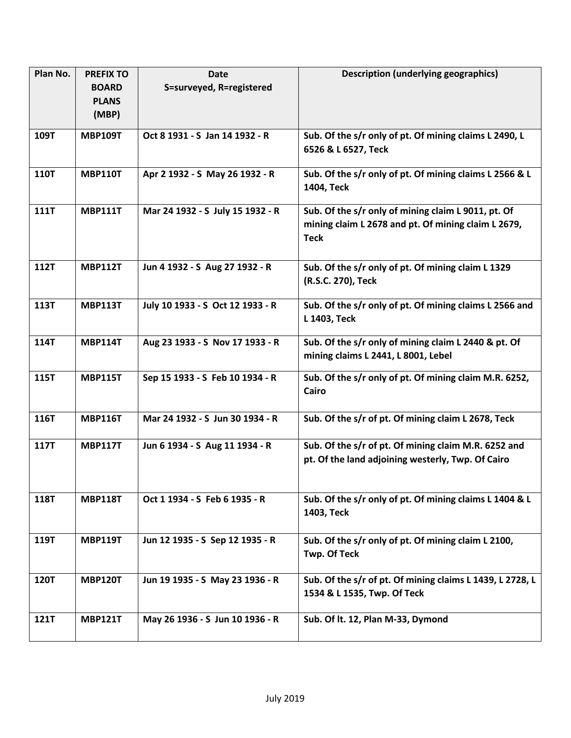| Plan No.    | <b>PREFIX TO</b> | Date                             | <b>Description (underlying geographics)</b>                                                                               |
|-------------|------------------|----------------------------------|---------------------------------------------------------------------------------------------------------------------------|
|             | <b>BOARD</b>     | S=surveyed, R=registered         |                                                                                                                           |
|             | <b>PLANS</b>     |                                  |                                                                                                                           |
|             | (MBP)            |                                  |                                                                                                                           |
| 109T        | <b>MBP109T</b>   | Oct 8 1931 - S Jan 14 1932 - R   | Sub. Of the s/r only of pt. Of mining claims L 2490, L                                                                    |
|             |                  |                                  | 6526 & L 6527, Teck                                                                                                       |
| <b>110T</b> | <b>MBP110T</b>   | Apr 2 1932 - S May 26 1932 - R   | Sub. Of the s/r only of pt. Of mining claims L 2566 & L<br>1404, Teck                                                     |
| <b>111T</b> | <b>MBP111T</b>   | Mar 24 1932 - S July 15 1932 - R | Sub. Of the s/r only of mining claim L 9011, pt. Of<br>mining claim L 2678 and pt. Of mining claim L 2679,<br><b>Teck</b> |
| <b>112T</b> | <b>MBP112T</b>   | Jun 4 1932 - S Aug 27 1932 - R   | Sub. Of the s/r only of pt. Of mining claim L 1329<br>(R.S.C. 270), Teck                                                  |
| 113T        | <b>MBP113T</b>   | July 10 1933 - S Oct 12 1933 - R | Sub. Of the s/r only of pt. Of mining claims L 2566 and<br>L 1403, Teck                                                   |
| <b>114T</b> | <b>MBP114T</b>   | Aug 23 1933 - S Nov 17 1933 - R  | Sub. Of the s/r only of mining claim L 2440 & pt. Of<br>mining claims L 2441, L 8001, Lebel                               |
| 115T        | <b>MBP115T</b>   | Sep 15 1933 - S Feb 10 1934 - R  | Sub. Of the s/r only of pt. Of mining claim M.R. 6252,<br>Cairo                                                           |
| 116T        | <b>MBP116T</b>   | Mar 24 1932 - S Jun 30 1934 - R  | Sub. Of the s/r of pt. Of mining claim L 2678, Teck                                                                       |
| <b>117T</b> | <b>MBP117T</b>   | Jun 6 1934 - S Aug 11 1934 - R   | Sub. Of the s/r of pt. Of mining claim M.R. 6252 and<br>pt. Of the land adjoining westerly, Twp. Of Cairo                 |
| <b>118T</b> | <b>MBP118T</b>   | Oct 1 1934 - S Feb 6 1935 - R    | Sub. Of the s/r only of pt. Of mining claims L 1404 & L<br>1403, Teck                                                     |
| 119T        | <b>MBP119T</b>   | Jun 12 1935 - S Sep 12 1935 - R  | Sub. Of the s/r only of pt. Of mining claim L 2100,<br><b>Twp. Of Teck</b>                                                |
| <b>120T</b> | <b>MBP120T</b>   | Jun 19 1935 - S May 23 1936 - R  | Sub. Of the s/r of pt. Of mining claims L 1439, L 2728, L<br>1534 & L 1535, Twp. Of Teck                                  |
| <b>121T</b> | <b>MBP121T</b>   | May 26 1936 - S Jun 10 1936 - R  | Sub. Of It. 12, Plan M-33, Dymond                                                                                         |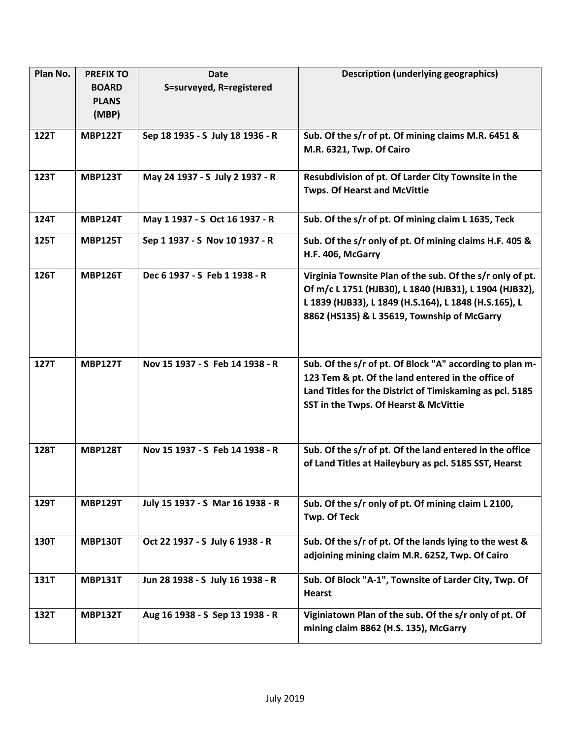| Plan No.    | <b>PREFIX TO</b> | <b>Date</b>                      | <b>Description (underlying geographics)</b>                                                                                                                                                                                 |
|-------------|------------------|----------------------------------|-----------------------------------------------------------------------------------------------------------------------------------------------------------------------------------------------------------------------------|
|             | <b>BOARD</b>     | S=surveyed, R=registered         |                                                                                                                                                                                                                             |
|             | <b>PLANS</b>     |                                  |                                                                                                                                                                                                                             |
|             | (MBP)            |                                  |                                                                                                                                                                                                                             |
| 122T        | <b>MBP122T</b>   | Sep 18 1935 - S July 18 1936 - R | Sub. Of the s/r of pt. Of mining claims M.R. 6451 &                                                                                                                                                                         |
|             |                  |                                  | M.R. 6321, Twp. Of Cairo                                                                                                                                                                                                    |
| 123T        | <b>MBP123T</b>   | May 24 1937 - S July 2 1937 - R  | Resubdivision of pt. Of Larder City Townsite in the<br><b>Twps. Of Hearst and McVittie</b>                                                                                                                                  |
| 124T        | <b>MBP124T</b>   | May 1 1937 - S Oct 16 1937 - R   | Sub. Of the s/r of pt. Of mining claim L 1635, Teck                                                                                                                                                                         |
| 125T        | <b>MBP125T</b>   | Sep 1 1937 - S Nov 10 1937 - R   | Sub. Of the s/r only of pt. Of mining claims H.F. 405 &<br>H.F. 406, McGarry                                                                                                                                                |
| 126T        | <b>MBP126T</b>   | Dec 6 1937 - S Feb 1 1938 - R    | Virginia Townsite Plan of the sub. Of the s/r only of pt.<br>Of m/c L 1751 (HJB30), L 1840 (HJB31), L 1904 (HJB32),<br>L 1839 (HJB33), L 1849 (H.S.164), L 1848 (H.S.165), L<br>8862 (HS135) & L 35619, Township of McGarry |
| <b>127T</b> | <b>MBP127T</b>   | Nov 15 1937 - S Feb 14 1938 - R  | Sub. Of the s/r of pt. Of Block "A" according to plan m-<br>123 Tem & pt. Of the land entered in the office of<br>Land Titles for the District of Timiskaming as pcl. 5185<br>SST in the Twps. Of Hearst & McVittie         |
| <b>128T</b> | <b>MBP128T</b>   | Nov 15 1937 - S Feb 14 1938 - R  | Sub. Of the s/r of pt. Of the land entered in the office<br>of Land Titles at Haileybury as pcl. 5185 SST, Hearst                                                                                                           |
| 129T        | <b>MBP129T</b>   | July 15 1937 - S Mar 16 1938 - R | Sub. Of the s/r only of pt. Of mining claim L 2100,<br>Twp. Of Teck                                                                                                                                                         |
| 130T        | <b>MBP130T</b>   | Oct 22 1937 - S July 6 1938 - R  | Sub. Of the s/r of pt. Of the lands lying to the west &<br>adjoining mining claim M.R. 6252, Twp. Of Cairo                                                                                                                  |
| 131T        | <b>MBP131T</b>   | Jun 28 1938 - S July 16 1938 - R | Sub. Of Block "A-1", Townsite of Larder City, Twp. Of<br><b>Hearst</b>                                                                                                                                                      |
| 132T        | <b>MBP132T</b>   | Aug 16 1938 - S Sep 13 1938 - R  | Viginiatown Plan of the sub. Of the s/r only of pt. Of<br>mining claim 8862 (H.S. 135), McGarry                                                                                                                             |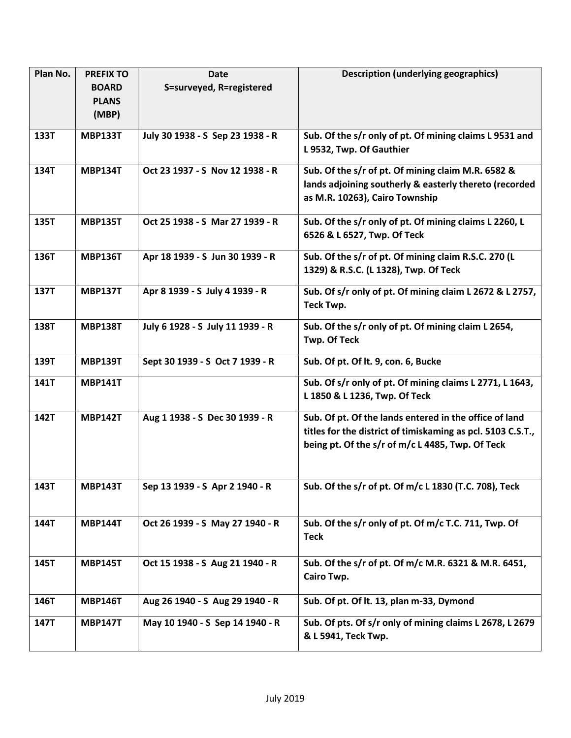| Plan No. | <b>PREFIX TO</b> | <b>Date</b>                      | <b>Description (underlying geographics)</b>                 |
|----------|------------------|----------------------------------|-------------------------------------------------------------|
|          | <b>BOARD</b>     | S=surveyed, R=registered         |                                                             |
|          | <b>PLANS</b>     |                                  |                                                             |
|          | (MBP)            |                                  |                                                             |
| 133T     | <b>MBP133T</b>   | July 30 1938 - S Sep 23 1938 - R | Sub. Of the s/r only of pt. Of mining claims L 9531 and     |
|          |                  |                                  | L 9532, Twp. Of Gauthier                                    |
| 134T     | <b>MBP134T</b>   | Oct 23 1937 - S Nov 12 1938 - R  | Sub. Of the s/r of pt. Of mining claim M.R. 6582 &          |
|          |                  |                                  | lands adjoining southerly & easterly thereto (recorded      |
|          |                  |                                  | as M.R. 10263), Cairo Township                              |
| 135T     | <b>MBP135T</b>   | Oct 25 1938 - S Mar 27 1939 - R  | Sub. Of the s/r only of pt. Of mining claims L 2260, L      |
|          |                  |                                  | 6526 & L 6527, Twp. Of Teck                                 |
| 136T     | <b>MBP136T</b>   | Apr 18 1939 - S Jun 30 1939 - R  | Sub. Of the s/r of pt. Of mining claim R.S.C. 270 (L        |
|          |                  |                                  | 1329) & R.S.C. (L 1328), Twp. Of Teck                       |
| 137T     | <b>MBP137T</b>   | Apr 8 1939 - S July 4 1939 - R   | Sub. Of s/r only of pt. Of mining claim L 2672 & L 2757,    |
|          |                  |                                  | Teck Twp.                                                   |
| 138T     | <b>MBP138T</b>   | July 6 1928 - S July 11 1939 - R | Sub. Of the s/r only of pt. Of mining claim L 2654,         |
|          |                  |                                  | <b>Twp. Of Teck</b>                                         |
| 139T     | <b>MBP139T</b>   | Sept 30 1939 - S Oct 7 1939 - R  | Sub. Of pt. Of lt. 9, con. 6, Bucke                         |
| 141T     | <b>MBP141T</b>   |                                  | Sub. Of s/r only of pt. Of mining claims L 2771, L 1643,    |
|          |                  |                                  | L 1850 & L 1236, Twp. Of Teck                               |
| 142T     | <b>MBP142T</b>   | Aug 1 1938 - S Dec 30 1939 - R   | Sub. Of pt. Of the lands entered in the office of land      |
|          |                  |                                  | titles for the district of timiskaming as pcl. 5103 C.S.T., |
|          |                  |                                  | being pt. Of the s/r of m/c L 4485, Twp. Of Teck            |
|          |                  |                                  |                                                             |
| 143T     | <b>MBP143T</b>   | Sep 13 1939 - S Apr 2 1940 - R   | Sub. Of the s/r of pt. Of m/c L 1830 (T.C. 708), Teck       |
|          |                  |                                  |                                                             |
|          |                  |                                  |                                                             |
| 144T     | <b>MBP144T</b>   | Oct 26 1939 - S May 27 1940 - R  | Sub. Of the s/r only of pt. Of m/c T.C. 711, Twp. Of        |
|          |                  |                                  | <b>Teck</b>                                                 |
| 145T     | <b>MBP145T</b>   | Oct 15 1938 - S Aug 21 1940 - R  | Sub. Of the s/r of pt. Of m/c M.R. 6321 & M.R. 6451,        |
|          |                  |                                  | Cairo Twp.                                                  |
| 146T     | <b>MBP146T</b>   | Aug 26 1940 - S Aug 29 1940 - R  | Sub. Of pt. Of lt. 13, plan m-33, Dymond                    |
| 147T     | <b>MBP147T</b>   | May 10 1940 - S Sep 14 1940 - R  | Sub. Of pts. Of s/r only of mining claims L 2678, L 2679    |
|          |                  |                                  | & L 5941, Teck Twp.                                         |
|          |                  |                                  |                                                             |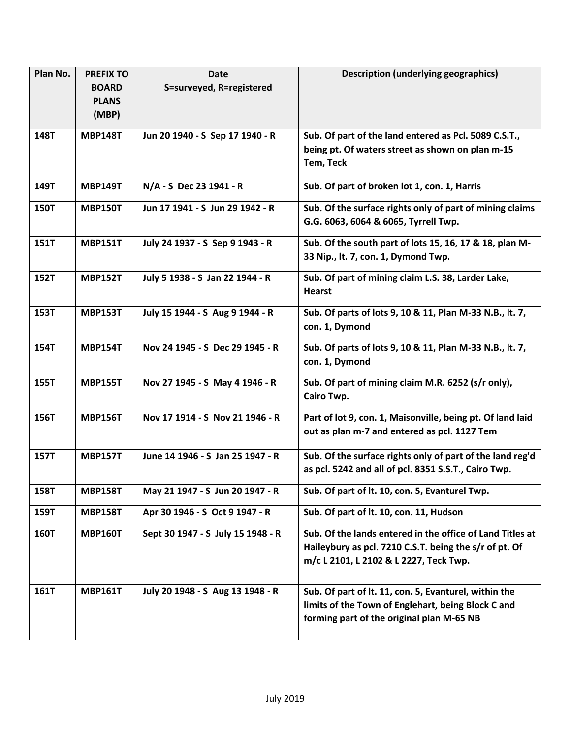| Plan No.    | <b>PREFIX TO</b> | <b>Date</b>                       | <b>Description (underlying geographics)</b>                |
|-------------|------------------|-----------------------------------|------------------------------------------------------------|
|             | <b>BOARD</b>     | S=surveyed, R=registered          |                                                            |
|             | <b>PLANS</b>     |                                   |                                                            |
|             | (MBP)            |                                   |                                                            |
| 148T        | <b>MBP148T</b>   | Jun 20 1940 - S Sep 17 1940 - R   | Sub. Of part of the land entered as Pcl. 5089 C.S.T.,      |
|             |                  |                                   | being pt. Of waters street as shown on plan m-15           |
|             |                  |                                   | Tem, Teck                                                  |
| 149T        | <b>MBP149T</b>   | N/A - S Dec 23 1941 - R           | Sub. Of part of broken lot 1, con. 1, Harris               |
| 150T        | <b>MBP150T</b>   | Jun 17 1941 - S Jun 29 1942 - R   | Sub. Of the surface rights only of part of mining claims   |
|             |                  |                                   | G.G. 6063, 6064 & 6065, Tyrrell Twp.                       |
| 151T        | <b>MBP151T</b>   | July 24 1937 - S Sep 9 1943 - R   | Sub. Of the south part of lots 15, 16, 17 & 18, plan M-    |
|             |                  |                                   | 33 Nip., lt. 7, con. 1, Dymond Twp.                        |
| 152T        | <b>MBP152T</b>   | July 5 1938 - S Jan 22 1944 - R   | Sub. Of part of mining claim L.S. 38, Larder Lake,         |
|             |                  |                                   | <b>Hearst</b>                                              |
| 153T        | <b>MBP153T</b>   | July 15 1944 - S Aug 9 1944 - R   | Sub. Of parts of lots 9, 10 & 11, Plan M-33 N.B., lt. 7,   |
|             |                  |                                   | con. 1, Dymond                                             |
| 154T        | <b>MBP154T</b>   | Nov 24 1945 - S Dec 29 1945 - R   | Sub. Of parts of lots 9, 10 & 11, Plan M-33 N.B., lt. 7,   |
|             |                  |                                   | con. 1, Dymond                                             |
| 155T        | <b>MBP155T</b>   | Nov 27 1945 - S May 4 1946 - R    | Sub. Of part of mining claim M.R. 6252 (s/r only),         |
|             |                  |                                   | Cairo Twp.                                                 |
| 156T        | <b>MBP156T</b>   | Nov 17 1914 - S Nov 21 1946 - R   | Part of lot 9, con. 1, Maisonville, being pt. Of land laid |
|             |                  |                                   | out as plan m-7 and entered as pcl. 1127 Tem               |
| 157T        | <b>MBP157T</b>   | June 14 1946 - S Jan 25 1947 - R  | Sub. Of the surface rights only of part of the land reg'd  |
|             |                  |                                   | as pcl. 5242 and all of pcl. 8351 S.S.T., Cairo Twp.       |
| 158T        | <b>MBP158T</b>   | May 21 1947 - S Jun 20 1947 - R   | Sub. Of part of lt. 10, con. 5, Evanturel Twp.             |
| 159T        | <b>MBP158T</b>   | Apr 30 1946 - S Oct 9 1947 - R    | Sub. Of part of lt. 10, con. 11, Hudson                    |
| <b>160T</b> | <b>MBP160T</b>   | Sept 30 1947 - S July 15 1948 - R | Sub. Of the lands entered in the office of Land Titles at  |
|             |                  |                                   | Haileybury as pcl. 7210 C.S.T. being the s/r of pt. Of     |
|             |                  |                                   | m/c L 2101, L 2102 & L 2227, Teck Twp.                     |
| 161T        | <b>MBP161T</b>   | July 20 1948 - S Aug 13 1948 - R  | Sub. Of part of lt. 11, con. 5, Evanturel, within the      |
|             |                  |                                   | limits of the Town of Englehart, being Block C and         |
|             |                  |                                   | forming part of the original plan M-65 NB                  |
|             |                  |                                   |                                                            |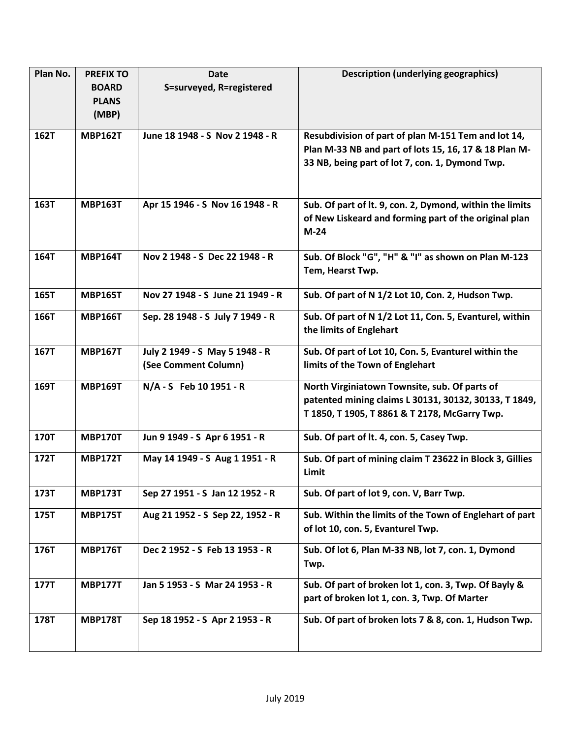| S=surveyed, R=registered<br><b>BOARD</b><br><b>PLANS</b><br>(MBP)                                               |                                                          |
|-----------------------------------------------------------------------------------------------------------------|----------------------------------------------------------|
|                                                                                                                 |                                                          |
|                                                                                                                 |                                                          |
|                                                                                                                 |                                                          |
| 162T<br><b>MBP162T</b><br>June 18 1948 - S Nov 2 1948 - R                                                       | Resubdivision of part of plan M-151 Tem and lot 14,      |
|                                                                                                                 | Plan M-33 NB and part of lots 15, 16, 17 & 18 Plan M-    |
| 33 NB, being part of lot 7, con. 1, Dymond Twp.                                                                 |                                                          |
|                                                                                                                 |                                                          |
| 163T<br><b>MBP163T</b><br>Apr 15 1946 - S Nov 16 1948 - R                                                       | Sub. Of part of lt. 9, con. 2, Dymond, within the limits |
|                                                                                                                 | of New Liskeard and forming part of the original plan    |
| $M-24$                                                                                                          |                                                          |
| 164T<br><b>MBP164T</b><br>Nov 2 1948 - S Dec 22 1948 - R                                                        | Sub. Of Block "G", "H" & "I" as shown on Plan M-123      |
| Tem, Hearst Twp.                                                                                                |                                                          |
|                                                                                                                 |                                                          |
| Sub. Of part of N 1/2 Lot 10, Con. 2, Hudson Twp.<br>165T<br><b>MBP165T</b><br>Nov 27 1948 - S June 21 1949 - R |                                                          |
| 166T<br>Sep. 28 1948 - S July 7 1949 - R<br><b>MBP166T</b>                                                      | Sub. Of part of N 1/2 Lot 11, Con. 5, Evanturel, within  |
| the limits of Englehart                                                                                         |                                                          |
| 167T<br><b>MBP167T</b><br>July 2 1949 - S May 5 1948 - R                                                        | Sub. Of part of Lot 10, Con. 5, Evanturel within the     |
| (See Comment Column)<br>limits of the Town of Englehart                                                         |                                                          |
| 169T<br>N/A - S Feb 10 1951 - R<br>North Virginiatown Townsite, sub. Of parts of<br><b>MBP169T</b>              |                                                          |
|                                                                                                                 | patented mining claims L 30131, 30132, 30133, T 1849,    |
| T 1850, T 1905, T 8861 & T 2178, McGarry Twp.                                                                   |                                                          |
| 170T<br>Sub. Of part of lt. 4, con. 5, Casey Twp.<br><b>MBP170T</b><br>Jun 9 1949 - S Apr 6 1951 - R            |                                                          |
| 172T<br><b>MBP172T</b><br>May 14 1949 - S Aug 1 1951 - R                                                        | Sub. Of part of mining claim T 23622 in Block 3, Gillies |
| Limit                                                                                                           |                                                          |
| Sub. Of part of lot 9, con. V, Barr Twp.<br>173T<br><b>MBP173T</b><br>Sep 27 1951 - S Jan 12 1952 - R           |                                                          |
| Aug 21 1952 - S Sep 22, 1952 - R<br>175T<br><b>MBP175T</b>                                                      | Sub. Within the limits of the Town of Englehart of part  |
| of lot 10, con. 5, Evanturel Twp.                                                                               |                                                          |
| <b>MBP176T</b><br>176T<br>Dec 2 1952 - S Feb 13 1953 - R<br>Sub. Of lot 6, Plan M-33 NB, lot 7, con. 1, Dymond  |                                                          |
| Twp.                                                                                                            |                                                          |
| Jan 5 1953 - S Mar 24 1953 - R<br>177T<br><b>MBP177T</b>                                                        | Sub. Of part of broken lot 1, con. 3, Twp. Of Bayly &    |
| part of broken lot 1, con. 3, Twp. Of Marter                                                                    |                                                          |
| Sep 18 1952 - S Apr 2 1953 - R<br>178T<br><b>MBP178T</b>                                                        | Sub. Of part of broken lots 7 & 8, con. 1, Hudson Twp.   |
|                                                                                                                 |                                                          |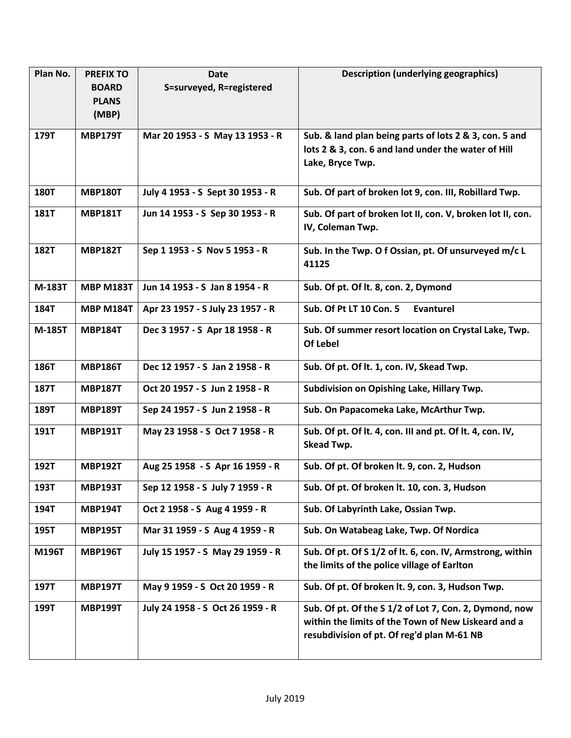| Plan No.    | <b>PREFIX TO</b> | <b>Date</b>                      | <b>Description (underlying geographics)</b>                |
|-------------|------------------|----------------------------------|------------------------------------------------------------|
|             | <b>BOARD</b>     | S=surveyed, R=registered         |                                                            |
|             | <b>PLANS</b>     |                                  |                                                            |
|             | (MBP)            |                                  |                                                            |
| 179T        | <b>MBP179T</b>   | Mar 20 1953 - S May 13 1953 - R  | Sub. & land plan being parts of lots 2 & 3, con. 5 and     |
|             |                  |                                  | lots 2 & 3, con. 6 and land under the water of Hill        |
|             |                  |                                  | Lake, Bryce Twp.                                           |
|             |                  |                                  |                                                            |
| <b>180T</b> | <b>MBP180T</b>   | July 4 1953 - S Sept 30 1953 - R | Sub. Of part of broken lot 9, con. III, Robillard Twp.     |
| 181T        | <b>MBP181T</b>   | Jun 14 1953 - S Sep 30 1953 - R  | Sub. Of part of broken lot II, con. V, broken lot II, con. |
|             |                  |                                  | IV, Coleman Twp.                                           |
|             |                  |                                  |                                                            |
| <b>182T</b> | <b>MBP182T</b>   | Sep 1 1953 - S Nov 5 1953 - R    | Sub. In the Twp. O f Ossian, pt. Of unsurveyed m/c L       |
|             |                  |                                  | 41125                                                      |
| M-183T      | <b>MBP M183T</b> | Jun 14 1953 - S Jan 8 1954 - R   | Sub. Of pt. Of lt. 8, con. 2, Dymond                       |
|             |                  |                                  |                                                            |
| 184T        | <b>MBP M184T</b> | Apr 23 1957 - S July 23 1957 - R | Sub. Of Pt LT 10 Con. 5<br>Evanturel                       |
| M-185T      | <b>MBP184T</b>   | Dec 3 1957 - S Apr 18 1958 - R   | Sub. Of summer resort location on Crystal Lake, Twp.       |
|             |                  |                                  | Of Lebel                                                   |
| 186T        | <b>MBP186T</b>   | Dec 12 1957 - S Jan 2 1958 - R   |                                                            |
|             |                  |                                  | Sub. Of pt. Of lt. 1, con. IV, Skead Twp.                  |
| <b>187T</b> | <b>MBP187T</b>   | Oct 20 1957 - S Jun 2 1958 - R   | Subdivision on Opishing Lake, Hillary Twp.                 |
| 189T        | <b>MBP189T</b>   | Sep 24 1957 - S Jun 2 1958 - R   | Sub. On Papacomeka Lake, McArthur Twp.                     |
| 191T        | <b>MBP191T</b>   | May 23 1958 - S Oct 7 1958 - R   | Sub. Of pt. Of lt. 4, con. III and pt. Of lt. 4, con. IV,  |
|             |                  |                                  | Skead Twp.                                                 |
|             |                  |                                  |                                                            |
| 192T        | <b>MBP192T</b>   | Aug 25 1958 - S Apr 16 1959 - R  | Sub. Of pt. Of broken lt. 9, con. 2, Hudson                |
| 193T        | <b>MBP193T</b>   | Sep 12 1958 - S July 7 1959 - R  | Sub. Of pt. Of broken lt. 10, con. 3, Hudson               |
| 194T        | <b>MBP194T</b>   | Oct 2 1958 - S Aug 4 1959 - R    | Sub. Of Labyrinth Lake, Ossian Twp.                        |
| 195T        | <b>MBP195T</b>   | Mar 31 1959 - S Aug 4 1959 - R   | Sub. On Watabeag Lake, Twp. Of Nordica                     |
| M196T       | <b>MBP196T</b>   | July 15 1957 - S May 29 1959 - R | Sub. Of pt. Of S 1/2 of lt. 6, con. IV, Armstrong, within  |
|             |                  |                                  | the limits of the police village of Earlton                |
| 197T        | <b>MBP197T</b>   | May 9 1959 - S Oct 20 1959 - R   | Sub. Of pt. Of broken lt. 9, con. 3, Hudson Twp.           |
| 199T        | <b>MBP199T</b>   | July 24 1958 - S Oct 26 1959 - R | Sub. Of pt. Of the S 1/2 of Lot 7, Con. 2, Dymond, now     |
|             |                  |                                  | within the limits of the Town of New Liskeard and a        |
|             |                  |                                  | resubdivision of pt. Of reg'd plan M-61 NB                 |
|             |                  |                                  |                                                            |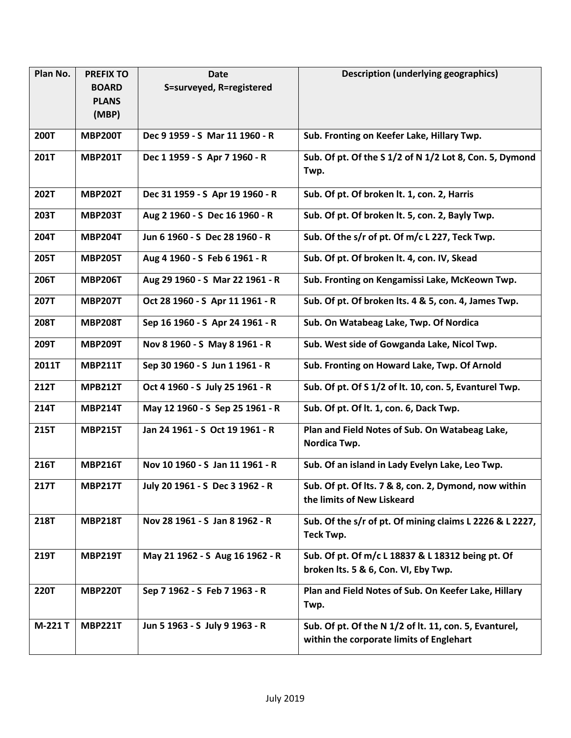| Plan No.    | <b>PREFIX TO</b> | <b>Date</b>                     | <b>Description (underlying geographics)</b>                                                        |
|-------------|------------------|---------------------------------|----------------------------------------------------------------------------------------------------|
|             | <b>BOARD</b>     | S=surveyed, R=registered        |                                                                                                    |
|             | <b>PLANS</b>     |                                 |                                                                                                    |
|             | (MBP)            |                                 |                                                                                                    |
| <b>200T</b> | <b>MBP200T</b>   | Dec 9 1959 - S Mar 11 1960 - R  | Sub. Fronting on Keefer Lake, Hillary Twp.                                                         |
| 201T        | <b>MBP201T</b>   | Dec 1 1959 - S Apr 7 1960 - R   | Sub. Of pt. Of the S 1/2 of N 1/2 Lot 8, Con. 5, Dymond                                            |
|             |                  |                                 | Twp.                                                                                               |
| 202T        | <b>MBP202T</b>   | Dec 31 1959 - S Apr 19 1960 - R | Sub. Of pt. Of broken lt. 1, con. 2, Harris                                                        |
| 203T        | <b>MBP203T</b>   | Aug 2 1960 - S Dec 16 1960 - R  | Sub. Of pt. Of broken lt. 5, con. 2, Bayly Twp.                                                    |
| 204T        | <b>MBP204T</b>   | Jun 6 1960 - S Dec 28 1960 - R  | Sub. Of the s/r of pt. Of m/c L 227, Teck Twp.                                                     |
| 205T        | <b>MBP205T</b>   | Aug 4 1960 - S Feb 6 1961 - R   | Sub. Of pt. Of broken lt. 4, con. IV, Skead                                                        |
| 206T        | <b>MBP206T</b>   | Aug 29 1960 - S Mar 22 1961 - R | Sub. Fronting on Kengamissi Lake, McKeown Twp.                                                     |
| <b>207T</b> | <b>MBP207T</b>   | Oct 28 1960 - S Apr 11 1961 - R | Sub. Of pt. Of broken lts. 4 & 5, con. 4, James Twp.                                               |
| <b>208T</b> | <b>MBP208T</b>   | Sep 16 1960 - S Apr 24 1961 - R | Sub. On Watabeag Lake, Twp. Of Nordica                                                             |
| 209T        | <b>MBP209T</b>   | Nov 8 1960 - S May 8 1961 - R   | Sub. West side of Gowganda Lake, Nicol Twp.                                                        |
| 2011T       | <b>MBP211T</b>   | Sep 30 1960 - S Jun 1 1961 - R  | Sub. Fronting on Howard Lake, Twp. Of Arnold                                                       |
| <b>212T</b> | <b>MPB212T</b>   | Oct 4 1960 - S July 25 1961 - R | Sub. Of pt. Of S 1/2 of lt. 10, con. 5, Evanturel Twp.                                             |
| 214T        | <b>MBP214T</b>   | May 12 1960 - S Sep 25 1961 - R | Sub. Of pt. Of lt. 1, con. 6, Dack Twp.                                                            |
| 215T        | <b>MBP215T</b>   | Jan 24 1961 - S Oct 19 1961 - R | Plan and Field Notes of Sub. On Watabeag Lake,<br>Nordica Twp.                                     |
|             |                  |                                 |                                                                                                    |
| 216T        | <b>MBP216T</b>   | Nov 10 1960 - S Jan 11 1961 - R | Sub. Of an island in Lady Evelyn Lake, Leo Twp.                                                    |
| 217T        | <b>MBP217T</b>   | July 20 1961 - S Dec 3 1962 - R | Sub. Of pt. Of Its. 7 & 8, con. 2, Dymond, now within<br>the limits of New Liskeard                |
| 218T        | <b>MBP218T</b>   | Nov 28 1961 - S Jan 8 1962 - R  | Sub. Of the s/r of pt. Of mining claims L 2226 & L 2227,<br>Teck Twp.                              |
| 219T        | <b>MBP219T</b>   | May 21 1962 - S Aug 16 1962 - R | Sub. Of pt. Of m/c L 18837 & L 18312 being pt. Of<br>broken Its. 5 & 6, Con. VI, Eby Twp.          |
| <b>220T</b> | <b>MBP220T</b>   | Sep 7 1962 - S Feb 7 1963 - R   | Plan and Field Notes of Sub. On Keefer Lake, Hillary<br>Twp.                                       |
| M-221 T     | <b>MBP221T</b>   | Jun 5 1963 - S July 9 1963 - R  | Sub. Of pt. Of the N 1/2 of lt. 11, con. 5, Evanturel,<br>within the corporate limits of Englehart |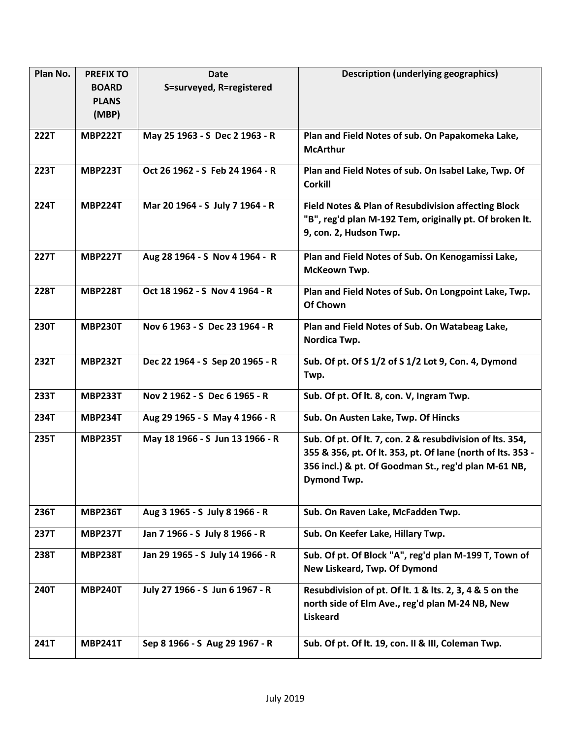| Plan No.    | <b>PREFIX TO</b> | <b>Date</b>                      | <b>Description (underlying geographics)</b>                                                                                                                                                     |
|-------------|------------------|----------------------------------|-------------------------------------------------------------------------------------------------------------------------------------------------------------------------------------------------|
|             | <b>BOARD</b>     | S=surveyed, R=registered         |                                                                                                                                                                                                 |
|             | <b>PLANS</b>     |                                  |                                                                                                                                                                                                 |
|             | (MBP)            |                                  |                                                                                                                                                                                                 |
| 222T        | <b>MBP222T</b>   | May 25 1963 - S Dec 2 1963 - R   | Plan and Field Notes of sub. On Papakomeka Lake,                                                                                                                                                |
|             |                  |                                  | <b>McArthur</b>                                                                                                                                                                                 |
| <b>223T</b> | <b>MBP223T</b>   | Oct 26 1962 - S Feb 24 1964 - R  | Plan and Field Notes of sub. On Isabel Lake, Twp. Of<br><b>Corkill</b>                                                                                                                          |
| <b>224T</b> | <b>MBP224T</b>   | Mar 20 1964 - S July 7 1964 - R  | Field Notes & Plan of Resubdivision affecting Block<br>"B", reg'd plan M-192 Tem, originally pt. Of broken It.<br>9, con. 2, Hudson Twp.                                                        |
| <b>227T</b> | <b>MBP227T</b>   | Aug 28 1964 - S Nov 4 1964 - R   | Plan and Field Notes of Sub. On Kenogamissi Lake,<br>McKeown Twp.                                                                                                                               |
| <b>228T</b> | <b>MBP228T</b>   | Oct 18 1962 - S Nov 4 1964 - R   | Plan and Field Notes of Sub. On Longpoint Lake, Twp.<br>Of Chown                                                                                                                                |
| <b>230T</b> | <b>MBP230T</b>   | Nov 6 1963 - S Dec 23 1964 - R   | Plan and Field Notes of Sub. On Watabeag Lake,<br>Nordica Twp.                                                                                                                                  |
| 232T        | <b>MBP232T</b>   | Dec 22 1964 - S Sep 20 1965 - R  | Sub. Of pt. Of S 1/2 of S 1/2 Lot 9, Con. 4, Dymond<br>Twp.                                                                                                                                     |
| 233T        | <b>MBP233T</b>   | Nov 2 1962 - S Dec 6 1965 - R    | Sub. Of pt. Of lt. 8, con. V, Ingram Twp.                                                                                                                                                       |
| 234T        | <b>MBP234T</b>   | Aug 29 1965 - S May 4 1966 - R   | Sub. On Austen Lake, Twp. Of Hincks                                                                                                                                                             |
| 235T        | <b>MBP235T</b>   | May 18 1966 - S Jun 13 1966 - R  | Sub. Of pt. Of lt. 7, con. 2 & resubdivision of lts. 354,<br>355 & 356, pt. Of lt. 353, pt. Of lane (north of lts. 353 -<br>356 incl.) & pt. Of Goodman St., reg'd plan M-61 NB,<br>Dymond Twp. |
| 236T        | <b>MBP236T</b>   | Aug 3 1965 - S July 8 1966 - R   | Sub. On Raven Lake, McFadden Twp.                                                                                                                                                               |
| 237T        | <b>MBP237T</b>   | Jan 7 1966 - S July 8 1966 - R   | Sub. On Keefer Lake, Hillary Twp.                                                                                                                                                               |
| 238T        | <b>MBP238T</b>   | Jan 29 1965 - S July 14 1966 - R | Sub. Of pt. Of Block "A", reg'd plan M-199 T, Town of<br>New Liskeard, Twp. Of Dymond                                                                                                           |
| <b>240T</b> | <b>MBP240T</b>   | July 27 1966 - S Jun 6 1967 - R  | Resubdivision of pt. Of lt. 1 & lts. 2, 3, 4 & 5 on the<br>north side of Elm Ave., reg'd plan M-24 NB, New<br><b>Liskeard</b>                                                                   |
| 241T        | <b>MBP241T</b>   | Sep 8 1966 - S Aug 29 1967 - R   | Sub. Of pt. Of lt. 19, con. II & III, Coleman Twp.                                                                                                                                              |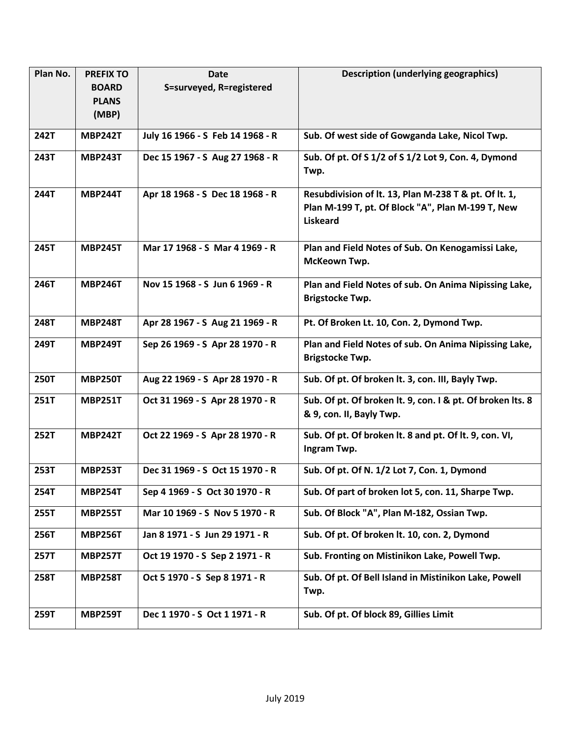| Plan No.    | <b>PREFIX TO</b> | <b>Date</b>                      | <b>Description (underlying geographics)</b>                                                                                   |
|-------------|------------------|----------------------------------|-------------------------------------------------------------------------------------------------------------------------------|
|             | <b>BOARD</b>     | S=surveyed, R=registered         |                                                                                                                               |
|             | <b>PLANS</b>     |                                  |                                                                                                                               |
|             | (MBP)            |                                  |                                                                                                                               |
| 242T        | <b>MBP242T</b>   | July 16 1966 - S Feb 14 1968 - R | Sub. Of west side of Gowganda Lake, Nicol Twp.                                                                                |
| 243T        | <b>MBP243T</b>   | Dec 15 1967 - S Aug 27 1968 - R  | Sub. Of pt. Of S 1/2 of S 1/2 Lot 9, Con. 4, Dymond<br>Twp.                                                                   |
| 244T        | <b>MBP244T</b>   | Apr 18 1968 - S Dec 18 1968 - R  | Resubdivision of lt. 13, Plan M-238 T & pt. Of lt. 1,<br>Plan M-199 T, pt. Of Block "A", Plan M-199 T, New<br><b>Liskeard</b> |
| 245T        | <b>MBP245T</b>   | Mar 17 1968 - S Mar 4 1969 - R   | Plan and Field Notes of Sub. On Kenogamissi Lake,<br>McKeown Twp.                                                             |
| 246T        | <b>MBP246T</b>   | Nov 15 1968 - S Jun 6 1969 - R   | Plan and Field Notes of sub. On Anima Nipissing Lake,<br>Brigstocke Twp.                                                      |
| 248T        | <b>MBP248T</b>   | Apr 28 1967 - S Aug 21 1969 - R  | Pt. Of Broken Lt. 10, Con. 2, Dymond Twp.                                                                                     |
| 249T        | <b>MBP249T</b>   | Sep 26 1969 - S Apr 28 1970 - R  | Plan and Field Notes of sub. On Anima Nipissing Lake,<br>Brigstocke Twp.                                                      |
| <b>250T</b> | <b>MBP250T</b>   | Aug 22 1969 - S Apr 28 1970 - R  | Sub. Of pt. Of broken lt. 3, con. III, Bayly Twp.                                                                             |
| 251T        | <b>MBP251T</b>   | Oct 31 1969 - S Apr 28 1970 - R  | Sub. Of pt. Of broken lt. 9, con. I & pt. Of broken lts. 8<br>& 9, con. II, Bayly Twp.                                        |
| 252T        | <b>MBP242T</b>   | Oct 22 1969 - S Apr 28 1970 - R  | Sub. Of pt. Of broken lt. 8 and pt. Of lt. 9, con. VI,<br>Ingram Twp.                                                         |
| 253T        | <b>MBP253T</b>   | Dec 31 1969 - S Oct 15 1970 - R  | Sub. Of pt. Of N. 1/2 Lot 7, Con. 1, Dymond                                                                                   |
| 254T        | <b>MBP254T</b>   | Sep 4 1969 - S Oct 30 1970 - R   | Sub. Of part of broken lot 5, con. 11, Sharpe Twp.                                                                            |
| 255T        | <b>MBP255T</b>   | Mar 10 1969 - S Nov 5 1970 - R   | Sub. Of Block "A", Plan M-182, Ossian Twp.                                                                                    |
| 256T        | <b>MBP256T</b>   | Jan 8 1971 - S Jun 29 1971 - R   | Sub. Of pt. Of broken lt. 10, con. 2, Dymond                                                                                  |
| 257T        | <b>MBP257T</b>   | Oct 19 1970 - S Sep 2 1971 - R   | Sub. Fronting on Mistinikon Lake, Powell Twp.                                                                                 |
| <b>258T</b> | <b>MBP258T</b>   | Oct 5 1970 - S Sep 8 1971 - R    | Sub. Of pt. Of Bell Island in Mistinikon Lake, Powell<br>Twp.                                                                 |
| 259T        | <b>MBP259T</b>   | Dec 1 1970 - S Oct 1 1971 - R    | Sub. Of pt. Of block 89, Gillies Limit                                                                                        |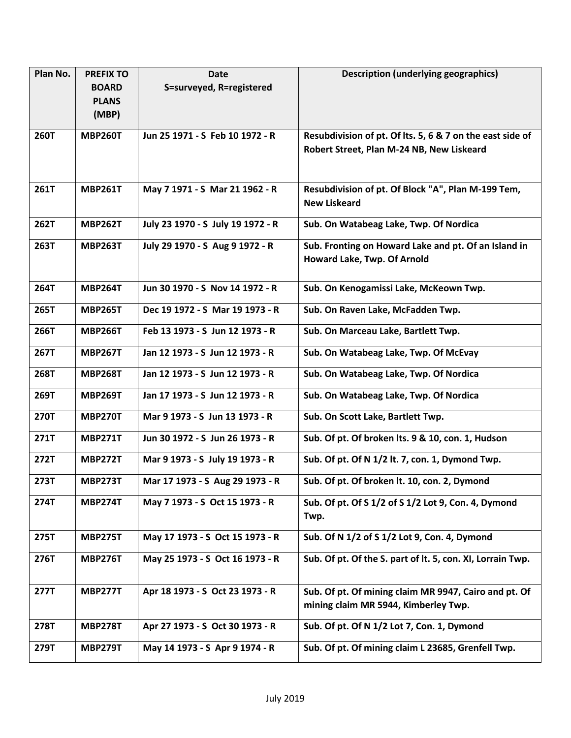| Plan No.    | <b>PREFIX TO</b> | <b>Date</b>                       | <b>Description (underlying geographics)</b>                                                   |
|-------------|------------------|-----------------------------------|-----------------------------------------------------------------------------------------------|
|             | <b>BOARD</b>     | S=surveyed, R=registered          |                                                                                               |
|             | <b>PLANS</b>     |                                   |                                                                                               |
|             | (MBP)            |                                   |                                                                                               |
| <b>260T</b> | <b>MBP260T</b>   | Jun 25 1971 - S Feb 10 1972 - R   | Resubdivision of pt. Of lts. 5, 6 & 7 on the east side of                                     |
|             |                  |                                   | Robert Street, Plan M-24 NB, New Liskeard                                                     |
| 261T        | <b>MBP261T</b>   | May 7 1971 - S Mar 21 1962 - R    | Resubdivision of pt. Of Block "A", Plan M-199 Tem,<br><b>New Liskeard</b>                     |
| <b>262T</b> | <b>MBP262T</b>   | July 23 1970 - S July 19 1972 - R | Sub. On Watabeag Lake, Twp. Of Nordica                                                        |
| 263T        | <b>MBP263T</b>   | July 29 1970 - S Aug 9 1972 - R   | Sub. Fronting on Howard Lake and pt. Of an Island in<br>Howard Lake, Twp. Of Arnold           |
| 264T        | <b>MBP264T</b>   | Jun 30 1970 - S Nov 14 1972 - R   | Sub. On Kenogamissi Lake, McKeown Twp.                                                        |
| 265T        | <b>MBP265T</b>   | Dec 19 1972 - S Mar 19 1973 - R   | Sub. On Raven Lake, McFadden Twp.                                                             |
| 266T        | <b>MBP266T</b>   | Feb 13 1973 - S Jun 12 1973 - R   | Sub. On Marceau Lake, Bartlett Twp.                                                           |
| 267T        | <b>MBP267T</b>   | Jan 12 1973 - S Jun 12 1973 - R   | Sub. On Watabeag Lake, Twp. Of McEvay                                                         |
| 268T        | <b>MBP268T</b>   | Jan 12 1973 - S Jun 12 1973 - R   | Sub. On Watabeag Lake, Twp. Of Nordica                                                        |
| 269T        | <b>MBP269T</b>   | Jan 17 1973 - S Jun 12 1973 - R   | Sub. On Watabeag Lake, Twp. Of Nordica                                                        |
| 270T        | <b>MBP270T</b>   | Mar 9 1973 - S Jun 13 1973 - R    | Sub. On Scott Lake, Bartlett Twp.                                                             |
| 271T        | <b>MBP271T</b>   | Jun 30 1972 - S Jun 26 1973 - R   | Sub. Of pt. Of broken lts. 9 & 10, con. 1, Hudson                                             |
| <b>272T</b> | <b>MBP272T</b>   | Mar 9 1973 - S July 19 1973 - R   | Sub. Of pt. Of N 1/2 lt. 7, con. 1, Dymond Twp.                                               |
| 273T        | <b>MBP273T</b>   | Mar 17 1973 - S Aug 29 1973 - R   | Sub. Of pt. Of broken lt. 10, con. 2, Dymond                                                  |
| 274T        | <b>MBP274T</b>   | May 7 1973 - S Oct 15 1973 - R    | Sub. Of pt. Of S 1/2 of S 1/2 Lot 9, Con. 4, Dymond<br>Twp.                                   |
| 275T        | <b>MBP275T</b>   | May 17 1973 - S Oct 15 1973 - R   | Sub. Of N 1/2 of S 1/2 Lot 9, Con. 4, Dymond                                                  |
| 276T        | <b>MBP276T</b>   | May 25 1973 - S Oct 16 1973 - R   | Sub. Of pt. Of the S. part of lt. 5, con. XI, Lorrain Twp.                                    |
| <b>277T</b> | <b>MBP277T</b>   | Apr 18 1973 - S Oct 23 1973 - R   | Sub. Of pt. Of mining claim MR 9947, Cairo and pt. Of<br>mining claim MR 5944, Kimberley Twp. |
| 278T        | <b>MBP278T</b>   | Apr 27 1973 - S Oct 30 1973 - R   | Sub. Of pt. Of N 1/2 Lot 7, Con. 1, Dymond                                                    |
| 279T        | <b>MBP279T</b>   | May 14 1973 - S Apr 9 1974 - R    | Sub. Of pt. Of mining claim L 23685, Grenfell Twp.                                            |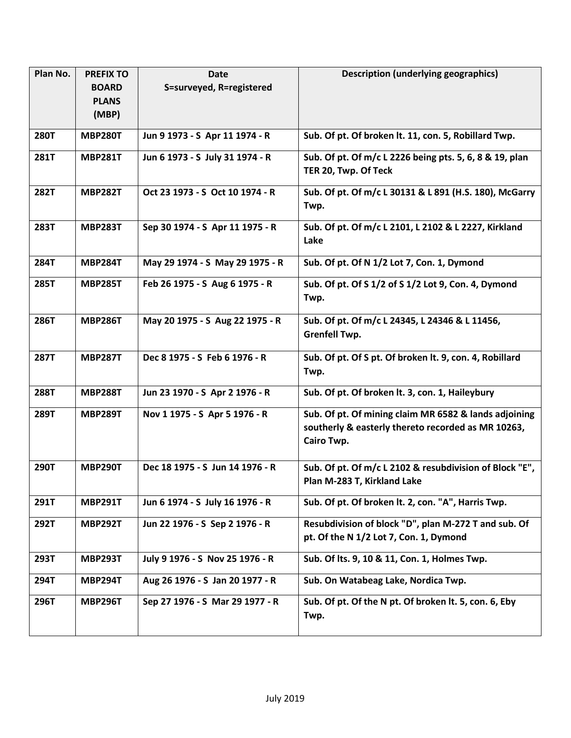| Plan No.    | <b>PREFIX TO</b> | <b>Date</b>                     | <b>Description (underlying geographics)</b>                                                                               |
|-------------|------------------|---------------------------------|---------------------------------------------------------------------------------------------------------------------------|
|             | <b>BOARD</b>     | S=surveyed, R=registered        |                                                                                                                           |
|             | <b>PLANS</b>     |                                 |                                                                                                                           |
|             | (MBP)            |                                 |                                                                                                                           |
| <b>280T</b> | <b>MBP280T</b>   | Jun 9 1973 - S Apr 11 1974 - R  | Sub. Of pt. Of broken lt. 11, con. 5, Robillard Twp.                                                                      |
| 281T        | <b>MBP281T</b>   | Jun 6 1973 - S July 31 1974 - R | Sub. Of pt. Of m/c L 2226 being pts. 5, 6, 8 & 19, plan<br>TER 20, Twp. Of Teck                                           |
| <b>282T</b> | <b>MBP282T</b>   | Oct 23 1973 - S Oct 10 1974 - R | Sub. Of pt. Of m/c L 30131 & L 891 (H.S. 180), McGarry<br>Twp.                                                            |
| 283T        | <b>MBP283T</b>   | Sep 30 1974 - S Apr 11 1975 - R | Sub. Of pt. Of m/c L 2101, L 2102 & L 2227, Kirkland<br>Lake                                                              |
| 284T        | <b>MBP284T</b>   | May 29 1974 - S May 29 1975 - R | Sub. Of pt. Of N 1/2 Lot 7, Con. 1, Dymond                                                                                |
| 285T        | <b>MBP285T</b>   | Feb 26 1975 - S Aug 6 1975 - R  | Sub. Of pt. Of S 1/2 of S 1/2 Lot 9, Con. 4, Dymond<br>Twp.                                                               |
| 286T        | <b>MBP286T</b>   | May 20 1975 - S Aug 22 1975 - R | Sub. Of pt. Of m/c L 24345, L 24346 & L 11456,<br><b>Grenfell Twp.</b>                                                    |
| <b>287T</b> | <b>MBP287T</b>   | Dec 8 1975 - S Feb 6 1976 - R   | Sub. Of pt. Of S pt. Of broken lt. 9, con. 4, Robillard<br>Twp.                                                           |
| <b>288T</b> | <b>MBP288T</b>   | Jun 23 1970 - S Apr 2 1976 - R  | Sub. Of pt. Of broken lt. 3, con. 1, Haileybury                                                                           |
| 289T        | <b>MBP289T</b>   | Nov 1 1975 - S Apr 5 1976 - R   | Sub. Of pt. Of mining claim MR 6582 & lands adjoining<br>southerly & easterly thereto recorded as MR 10263,<br>Cairo Twp. |
| 290T        | <b>MBP290T</b>   | Dec 18 1975 - S Jun 14 1976 - R | Sub. Of pt. Of m/c L 2102 & resubdivision of Block "E",<br>Plan M-283 T, Kirkland Lake                                    |
| 291T        | <b>MBP291T</b>   | Jun 6 1974 - S July 16 1976 - R | Sub. Of pt. Of broken lt. 2, con. "A", Harris Twp.                                                                        |
| 292T        | <b>MBP292T</b>   | Jun 22 1976 - S Sep 2 1976 - R  | Resubdivision of block "D", plan M-272 T and sub. Of<br>pt. Of the N 1/2 Lot 7, Con. 1, Dymond                            |
| 293T        | <b>MBP293T</b>   | July 9 1976 - S Nov 25 1976 - R | Sub. Of Its. 9, 10 & 11, Con. 1, Holmes Twp.                                                                              |
| 294T        | <b>MBP294T</b>   | Aug 26 1976 - S Jan 20 1977 - R | Sub. On Watabeag Lake, Nordica Twp.                                                                                       |
| 296T        | <b>MBP296T</b>   | Sep 27 1976 - S Mar 29 1977 - R | Sub. Of pt. Of the N pt. Of broken lt. 5, con. 6, Eby<br>Twp.                                                             |